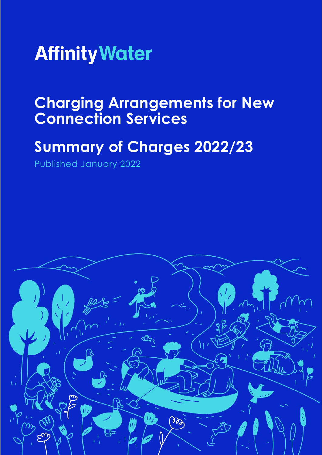

# **Charging Arrangements for New Connection Services**

# **Summary of Charges 2022/23**

Published January 2022

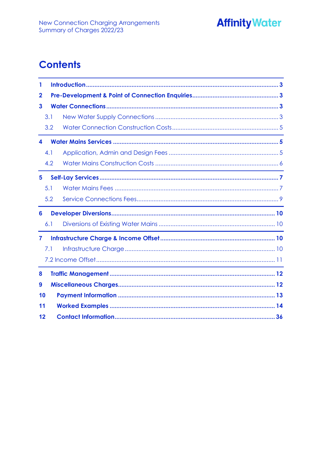

# **Contents**

| 1              |     |                                                                                                                                                                                                                               |
|----------------|-----|-------------------------------------------------------------------------------------------------------------------------------------------------------------------------------------------------------------------------------|
| $\mathbf 2$    |     |                                                                                                                                                                                                                               |
| 3              |     |                                                                                                                                                                                                                               |
|                | 3.1 |                                                                                                                                                                                                                               |
|                | 3.2 | <u> 1989 - Johann Stoff, amerikansk politiker (d. 1989)</u>                                                                                                                                                                   |
| 4              |     |                                                                                                                                                                                                                               |
|                | 4.1 |                                                                                                                                                                                                                               |
|                | 4.2 |                                                                                                                                                                                                                               |
| 5              |     |                                                                                                                                                                                                                               |
|                | 5.1 |                                                                                                                                                                                                                               |
|                | 5.2 | the control of the control of the control of the control of the control of the control of the control of the control of the control of the control of the control of the control of the control of the control of the control |
| 6              |     |                                                                                                                                                                                                                               |
|                | 6.1 | the control of the control of the control of the control of the control of the control of                                                                                                                                     |
| $\overline{7}$ |     |                                                                                                                                                                                                                               |
|                | 7.1 |                                                                                                                                                                                                                               |
|                |     |                                                                                                                                                                                                                               |
| 8              |     |                                                                                                                                                                                                                               |
| 9              |     |                                                                                                                                                                                                                               |
| 10             |     |                                                                                                                                                                                                                               |
| 11             |     |                                                                                                                                                                                                                               |
| 12             |     |                                                                                                                                                                                                                               |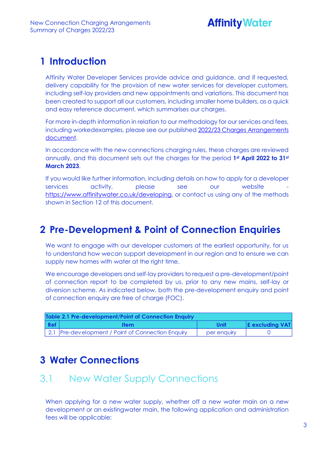# **Affinity Water**

### <span id="page-2-0"></span>**1 Introduction**

Affinity Water Developer Services provide advice and guidance, and if requested, delivery capability for the provision of new water services for developer customers, including self-lay providers and new appointments and variations. This document has been created to support all our customers, including smaller home builders, as a quick and easy reference document, which summarises our charges.

For more in-depth information in relation to our methodology for our services and fees, including workedexamples, please see our published 2022/23 Charges [Arrangements](https://www.affinitywater.co.uk/docs/developer/2022/New-Connection-Charging-Arrangements-22-23.pdf)  [document.](https://www.affinitywater.co.uk/docs/developer/2022/New-Connection-Charging-Arrangements-22-23.pdf)

In accordance with the new connections charging rules, these charges are reviewed annually, and this document sets out the charges for the period **1st April 2022 to 31st March 2023**.

If you would like further information, including details on how to apply for a developer services activity, please see our website [https://www.affinitywater.co.uk/developing,](https://www.affinitywater.co.uk/developing) or contact us using any of the methods shown in Section 12 of this document.

### <span id="page-2-1"></span>**2 Pre-Development & Point of Connection Enquiries**

We want to engage with our developer customers at the earliest opportunity, for us to understand how wecan support development in our region and to ensure we can supply new homes with water at the right time.

We encourage developers and self-lay providers to request a pre-development/point of connection report to be completed by us, prior to any new mains, self-lay or diversion scheme. As indicated below, both the pre-development enquiry and point of connection enquiry are free of charge (FOC).

|     | Table 2.1 Pre-development/Point of Connection Enquiry |             |                        |  |  |  |  |
|-----|-------------------------------------------------------|-------------|------------------------|--|--|--|--|
| Ref | <b>Item</b>                                           | Unit        | <b>E</b> excluding VAT |  |  |  |  |
|     | 2.1 Pre-development / Point of Connection Enquiry     | per enquiry |                        |  |  |  |  |

### <span id="page-2-2"></span>**3 Water Connections**

### <span id="page-2-3"></span>3.1 New Water Supply Connections

When applying for a new water supply, whether off a new water main on a new development or an existingwater main, the following application and administration fees will be applicable: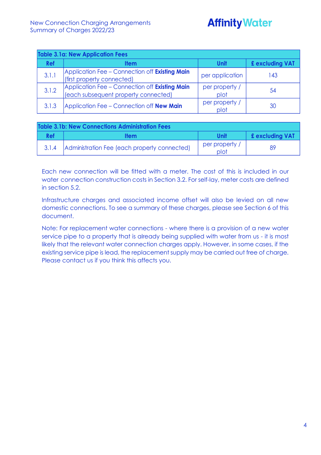| <b>Table 3.1a: New Application Fees</b> |                                                                                        |                        |                 |  |  |  |  |
|-----------------------------------------|----------------------------------------------------------------------------------------|------------------------|-----------------|--|--|--|--|
| <b>Ref</b>                              | ltem                                                                                   | Unit                   | £ excluding VAT |  |  |  |  |
| 3.1.1                                   | Application Fee - Connection off Existing Main<br>(first property connected)           | per application        | 143             |  |  |  |  |
| 3.1.2                                   | Application Fee - Connection off Existing Main<br>(each subsequent property connected) | per property /<br>plot | 54              |  |  |  |  |
| 3.1.3                                   | Application Fee - Connection off <b>New Main</b>                                       | per property /<br>plot | 30              |  |  |  |  |

| Table 3.1b: New Connections Administration Fees |                                              |                        |                        |  |  |  |
|-------------------------------------------------|----------------------------------------------|------------------------|------------------------|--|--|--|
| Ref                                             | <b>Item</b>                                  | Unit                   | <b>£</b> excluding VAT |  |  |  |
| 3.1.4                                           | Administration Fee (each property connected) | per property /<br>plot | 89                     |  |  |  |

Each new connection will be fitted with a meter. The cost of this is included in our water connection construction costs in Section 3.2. For self-lay, meter costs are defined in section 5.2.

Infrastructure charges and associated income offset will also be levied on all new domestic connections. To see a summary of these charges, please see Section 6 of this document.

Note: For replacement water connections - where there is a provision of a new water service pipe to a property that is already being supplied with water from us - it is most likely that the relevant water connection charges apply. However, in some cases, if the existing service pipe is lead, the replacement supply may be carried out free of charge. Please contact us if you think this affects you.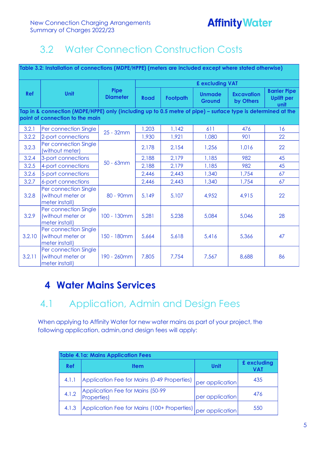# <span id="page-4-0"></span>3.2 Water Connection Construction Costs

| Table 3.2: Installation of connections (MDPE/HPPE) (meters are included except where stated otherwise) |                                                                                                                                                 |                         |                 |                 |                                |                                |                                                  |
|--------------------------------------------------------------------------------------------------------|-------------------------------------------------------------------------------------------------------------------------------------------------|-------------------------|-----------------|-----------------|--------------------------------|--------------------------------|--------------------------------------------------|
|                                                                                                        |                                                                                                                                                 |                         | £ excluding VAT |                 |                                |                                |                                                  |
| Ref                                                                                                    | <b>Unit</b>                                                                                                                                     | Pipe<br><b>Diameter</b> | <b>Road</b>     | <b>Footpath</b> | <b>Unmade</b><br><b>Ground</b> | <b>Excavation</b><br>by Others | <b>Barrier Pipe</b><br><b>Uplift per</b><br>unit |
|                                                                                                        | Tap in & connection (MDPE/HPPE) only (including up to 0.5 metre of pipe) - surface type is determined at the<br>point of connection to the main |                         |                 |                 |                                |                                |                                                  |
| 3.2.1                                                                                                  | Per connection Single                                                                                                                           | 25 - 32mm               | 1,203           | 1,142           | 611                            | 476                            | 16                                               |
| 3.2.2                                                                                                  | 2-port connections                                                                                                                              |                         | 1,930           | 1,921           | 1,080                          | 901                            | 22                                               |
| 3.2.3                                                                                                  | Per connection Single<br>(without meter)                                                                                                        |                         | 2,178           | 2,154           | 1,256                          | 1,016                          | 22                                               |
| 3.2.4                                                                                                  | 3-port connections                                                                                                                              | 50 - 63mm               | 2,188           | 2,179           | 1,185                          | 982                            | 45                                               |
| 3.2.5                                                                                                  | 4-port connections                                                                                                                              |                         | 2,188           | 2,179           | 1,185                          | 982                            | 45                                               |
| 3.2.6                                                                                                  | 5-port connections                                                                                                                              |                         | 2,446           | 2,443           | 1,340                          | 1,754                          | 67                                               |
| 3.2.7                                                                                                  | 6-port connections                                                                                                                              |                         | 2,446           | 2,443           | 1,340                          | 1,754                          | 67                                               |
| 3.2.8                                                                                                  | Per connection Single<br>(without meter or<br>meter install)                                                                                    | 80 - 90mm               | 5,149           | 5,107           | 4,952                          | 4,915                          | 22                                               |
| 3.2.9                                                                                                  | Per connection Single<br>(without meter or<br>meter install)                                                                                    | 100 - 130mm             | 5,281           | 5,238           | 5,084                          | 5,046                          | 28                                               |
| 3.2.10                                                                                                 | Per connection Single<br>(without meter or<br>meter install)                                                                                    | 150 - 180mm             | 5,664           | 5,618           | 5,416                          | 5,366                          | 47                                               |
| 3.2.11                                                                                                 | Per connection Single<br>(without meter or<br>meter install)                                                                                    | 190 - 260mm             | 7,805           | 7,754           | 7,567                          | 8,688                          | 86                                               |

### <span id="page-4-1"></span>**4 Water Mains Services**

### <span id="page-4-2"></span>4.1 Application, Admin and Design Fees

When applying to Affinity Water for new water mains as part of your project, the following application, admin,and design fees will apply:

|       | <b>Table 4.1a: Mains Application Fees</b>               |                 |                    |  |  |  |  |
|-------|---------------------------------------------------------|-----------------|--------------------|--|--|--|--|
| Ref   | <b>Item</b>                                             | Unit            | £ excluding<br>VAT |  |  |  |  |
| 4.1.1 | Application Fee for Mains (0-49 Properties)             | per application | 435                |  |  |  |  |
| 4.1.2 | Application Fee for Mains (50-99<br><b>Properties</b> ) | per application | 476                |  |  |  |  |
| 4.1.3 | Application Fee for Mains (100+ Properties)             | per application | 550                |  |  |  |  |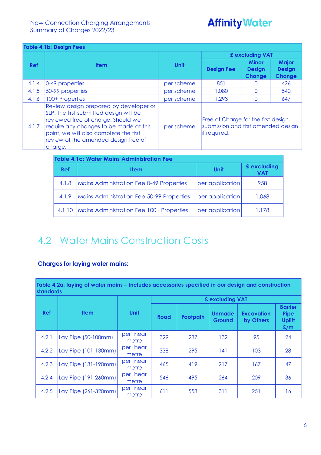# **Affinity Water**

| <b>Table 4.1b: Design Fees</b> |                                                                                                                                                                                                                                                                |            |                                                                                                    |                                                |                                                |  |  |
|--------------------------------|----------------------------------------------------------------------------------------------------------------------------------------------------------------------------------------------------------------------------------------------------------------|------------|----------------------------------------------------------------------------------------------------|------------------------------------------------|------------------------------------------------|--|--|
|                                |                                                                                                                                                                                                                                                                |            |                                                                                                    | £ excluding VAT                                |                                                |  |  |
| Ref                            | <b>Item</b>                                                                                                                                                                                                                                                    | Unit       | <b>Design Fee</b>                                                                                  | <b>Minor</b><br><b>Design</b><br><b>Change</b> | <b>Major</b><br><b>Design</b><br><b>Change</b> |  |  |
| 4.1.4                          | 0-49 properties                                                                                                                                                                                                                                                | per scheme | 851                                                                                                |                                                | 426                                            |  |  |
| 4.1.5                          | 50-99 properties                                                                                                                                                                                                                                               | per scheme | 1,080                                                                                              | O                                              | 540                                            |  |  |
| 4.1.6                          | 100+ Properties                                                                                                                                                                                                                                                | per scheme | 1,293                                                                                              | O                                              | 647                                            |  |  |
| 4.1.7                          | Review design prepared by developer or<br>SLP. The first submitted design will be<br>reviewed free of charge. Should we<br>require any changes to be made at this<br>point, we will also complete the first<br>review of the amended design free of<br>charge. | per scheme | Free of Charge for the first design<br>submission and first amended design<br><b>lif</b> required. |                                                |                                                |  |  |

| <b>Table 4.1c: Water Mains Administration Fee</b> |                                           |                 |                    |  |  |  |  |  |  |
|---------------------------------------------------|-------------------------------------------|-----------------|--------------------|--|--|--|--|--|--|
| Ref                                               | <b>Item</b>                               | Unit            | £ excluding<br>VAT |  |  |  |  |  |  |
| 4.1.8                                             | Mains Administration Fee 0-49 Properties  | per application | 958                |  |  |  |  |  |  |
| 4.1.9                                             | Mains Administration Fee 50-99 Properties | per application | 1.068              |  |  |  |  |  |  |
| 4.1.10                                            | Mains Administration Fee 100+ Properties  | per application | 1.178              |  |  |  |  |  |  |

# <span id="page-5-0"></span>4.2 Water Mains Construction Costs

#### **Charges for laying water mains:**

**Table 4.2a: laying of water mains – Includes accessories specified in our design and construction standards**

|            |                      | £ excluding VAT     |             |                                  |     |                                |                                                       |
|------------|----------------------|---------------------|-------------|----------------------------------|-----|--------------------------------|-------------------------------------------------------|
| <b>Ref</b> | <b>Item</b>          | <b>Unit</b>         | <b>Road</b> | <b>Unmade</b><br><b>Footpath</b> |     | <b>Excavation</b><br>by Others | <b>Barrier</b><br><b>Pipe</b><br><b>Uplift</b><br>E/m |
| 4.2.1      | Lay Pipe (50-100mm)  | per linear<br>metre | 329         | 287                              | 132 | 95                             | 24                                                    |
| 4.2.2      | Lay Pipe (101-130mm) | per linear<br>metre | 338         | 295                              | 141 | 103                            | 28                                                    |
| 4.2.3      | Lay Pipe (131-190mm) | per linear<br>metre | 465         | 419                              | 217 | 167                            | 47                                                    |
| 4.2.4      | Lay Pipe (191-260mm) | per linear<br>metre | 546         | 495                              | 264 | 209                            | 36                                                    |
| 4.2.5      | Lay Pipe (261-320mm) | per linear<br>metre | 611         | 558                              | 311 | 251                            | 16                                                    |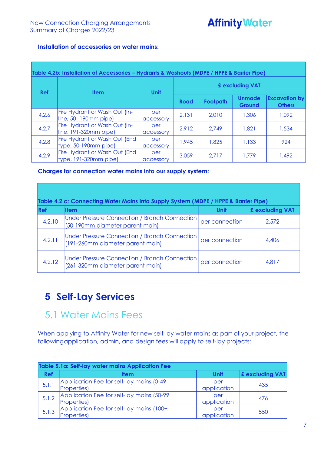#### **Installation of accessories on water mains:**

| Table 4.2b: Installation of Accessories - Hydrants & Washouts (MDPE / HPPE & Barrier Pipe) |                                                          |                  |                 |                 |                         |                                       |  |
|--------------------------------------------------------------------------------------------|----------------------------------------------------------|------------------|-----------------|-----------------|-------------------------|---------------------------------------|--|
| <b>Ref</b>                                                                                 | <b>Item</b>                                              | <b>Unit</b>      | £ excluding VAT |                 |                         |                                       |  |
|                                                                                            |                                                          |                  | <b>Road</b>     | <b>Footpath</b> | <b>Unmade</b><br>Ground | <b>Excavation by</b><br><b>Others</b> |  |
| 4.2.6                                                                                      | Fire Hydrant or Wash Out (In-<br>$line, 50-190mm$ pipe)  | per<br>accessory | 2,131           | 2,010           | 1,306                   | 1,092                                 |  |
| 4.2.7                                                                                      | Fire Hydrant or Wash Out (In-<br>$line, 191-320mm$ pipe) | per<br>accessory | 2,912           | 2.749           | 1.821                   | 1,534                                 |  |
| 4.2.8                                                                                      | Fire Hydrant or Wash Out (End<br>$type, 50-190mm$ pipe)  | per<br>accessory | 1,945           | 1,825           | 1,133                   | 924                                   |  |
| 4.2.9                                                                                      | Fire Hydrant or Wash Out (End<br>$type, 191-320mm$ pipe) | per<br>accessory | 3,059           | 2,717           | 1.779                   | 1,492                                 |  |

#### **Charges for connection water mains into our supply system:**

| Table 4.2.c: Connecting Water Mains into Supply System (MDPE / HPPE & Barrier Pipe) |                                                                                   |                 |       |  |  |  |  |
|-------------------------------------------------------------------------------------|-----------------------------------------------------------------------------------|-----------------|-------|--|--|--|--|
| Ref                                                                                 | Unit                                                                              | £ excluding VAT |       |  |  |  |  |
| 4.2.10                                                                              | Under Pressure Connection / Branch Connection<br>(50-190mm diameter parent main)  | per connection  | 2,572 |  |  |  |  |
| 4.2.11                                                                              | Under Pressure Connection / Branch Connection<br>(191-260mm diameter parent main) | per connection  | 4,406 |  |  |  |  |
| 4.2.12                                                                              | Under Pressure Connection / Branch Connection<br>(261-320mm diameter parent main) | per connection  | 4,817 |  |  |  |  |

### <span id="page-6-0"></span>**5 Self-Lay Services**

### <span id="page-6-1"></span>5.1 Water Mains Fees

When applying to Affinity Water for new self-lay water mains as part of your project, the followingapplication, admin, and design fees will apply to self-lay projects:

|       | Table 5.1a: Self-lay water mains Application Fee                 |                    |                        |  |  |  |  |
|-------|------------------------------------------------------------------|--------------------|------------------------|--|--|--|--|
| Ref   | <b>Item</b>                                                      | Unit               | <b>£</b> excluding VAT |  |  |  |  |
| 5.1.1 | Application Fee for self-lay mains (0-49)<br><b>Properties</b> ) | per<br>application | 435                    |  |  |  |  |
| 5.1.2 | Application Fee for self-lay mains (50-99<br><b>Properties</b> ) | per<br>application | 476                    |  |  |  |  |
| 5.1.3 | Application Fee for self-lay mains (100+<br><b>Properties</b> )  | per<br>application | 550                    |  |  |  |  |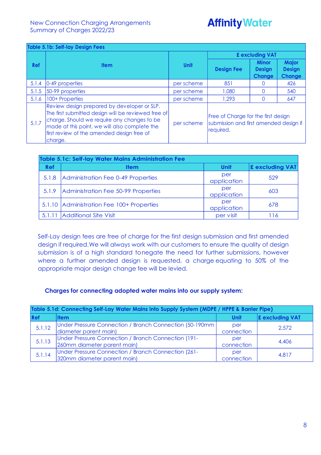#### **Table 5.1b: Self-lay Design Fees**

| $19000$ . The school is a constructed |                                                                                                                                                                                                                                                             |             | £ excluding VAT                                                                            |                                                |                                                |  |
|---------------------------------------|-------------------------------------------------------------------------------------------------------------------------------------------------------------------------------------------------------------------------------------------------------------|-------------|--------------------------------------------------------------------------------------------|------------------------------------------------|------------------------------------------------|--|
| Ref                                   | <b>Item</b>                                                                                                                                                                                                                                                 | <b>Unit</b> | <b>Design Fee</b>                                                                          | <b>Minor</b><br><b>Design</b><br><b>Change</b> | <b>Major</b><br><b>Design</b><br><b>Change</b> |  |
| 5.1.4                                 | 0-49 properties                                                                                                                                                                                                                                             | per scheme  | 851                                                                                        |                                                | 426                                            |  |
| 5.1.5                                 | 50-99 properties                                                                                                                                                                                                                                            | per scheme  | 1,080                                                                                      |                                                | 540                                            |  |
| 5.1.6                                 | 100+ Properties                                                                                                                                                                                                                                             | per scheme  | 1,293                                                                                      |                                                | 647                                            |  |
| 5.1.7                                 | Review design prepared by developer or SLP.<br>The first submitted design will be reviewed free of<br>charge. Should we require any changes to be<br>made at this point, we will also complete the<br>first review of the amended design free of<br>charge. | per scheme  | Free of Charge for the first design<br>submission and first amended design if<br>required. |                                                |                                                |  |

| <b>Table 5.1c: Self-lay Water Mains Administration Fee</b> |                                           |                    |                 |  |  |
|------------------------------------------------------------|-------------------------------------------|--------------------|-----------------|--|--|
| Ref                                                        | <b>Item</b>                               | Unit               | £ excluding VAT |  |  |
| 5.1.8                                                      | Administration Fee 0-49 Properties        | per<br>application | 529             |  |  |
|                                                            | 5.1.9 Administration Fee 50-99 Properties | per<br>application | 603             |  |  |
|                                                            | 5.1.10 Administration Fee 100+ Properties | per<br>application | 678             |  |  |
| 5.1.11                                                     | Additional Site Visit                     | per visit          | <sup>16</sup>   |  |  |

Self-Lay design fees are free of charge for the first design submission and first amended design if required.We will always work with our customers to ensure the quality of design submission is of a high standard tonegate the need for further submissions, however where a further amended design is requested, a charge equating to 50% of the appropriate major design change fee will be levied.

#### **Charges for connecting adopted water mains into our supply system:**

| Table 5.1d: Connecting Self-Lay Water Mains into Supply System (MDPE / HPPE & Barrier Pipe) |                                                          |             |                        |  |  |
|---------------------------------------------------------------------------------------------|----------------------------------------------------------|-------------|------------------------|--|--|
| Ref                                                                                         | <b>Item</b>                                              | <b>Unit</b> | <b>£</b> excluding VAT |  |  |
| 5.1.12                                                                                      | Under Pressure Connection / Branch Connection (50-190mm) | per         | 2.572                  |  |  |
|                                                                                             | diameter parent main)                                    | connection  |                        |  |  |
| 5.1.13                                                                                      | Under Pressure Connection / Branch Connection (191-      | per         | 4.406                  |  |  |
|                                                                                             | 260mm diameter parent main)                              | connection  |                        |  |  |
| 5.1.14                                                                                      | Under Pressure Connection / Branch Connection (261-      | per         | 4,817                  |  |  |
|                                                                                             | 320mm diameter parent main)                              | connection  |                        |  |  |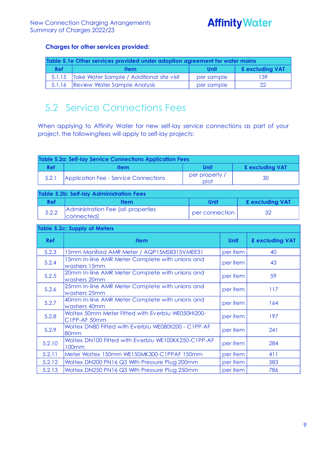# **Affinity Water**

#### **Charges for other services provided:**

| Table 5.1e Other services provided under adoption agreement for water mains |                                                  |            |                        |  |
|-----------------------------------------------------------------------------|--------------------------------------------------|------------|------------------------|--|
| <b>Ref</b>                                                                  | <b>Item</b>                                      | Unit       | <b>£ excluding VAT</b> |  |
|                                                                             | 5.1.15 Take Water Sample / Additional site visit | per sample | 139                    |  |
|                                                                             | 5.1.16   Review Water Sample Analysis            | per sample |                        |  |

### <span id="page-8-0"></span>5.2 Service Connections Fees

When applying to Affinity Water for new self-lay service connections as part of your project, the followingfees will apply to self-lay projects:

| Table 5.2a: Self-lay Service Connections Application Fees |                                       |                        |                        |  |  |
|-----------------------------------------------------------|---------------------------------------|------------------------|------------------------|--|--|
| Ref                                                       | Item                                  | Unit                   | <b>£ excluding VAT</b> |  |  |
| 5.2.1                                                     | Application Fee - Service Connections | per property /<br>plot | 30                     |  |  |

| Table 5.2b: Self-lay Administration Fees |                                                  |                |                        |  |  |
|------------------------------------------|--------------------------------------------------|----------------|------------------------|--|--|
| <b>Ref</b>                               | <b>Item</b>                                      | Unit           | <b>£ excluding VAT</b> |  |  |
| 5.2.2                                    | Administration Fee (all properties<br>connected) | per connection | 32                     |  |  |

#### **Table 5.2c: Supply of Meters**

| <b>Ref</b> | <b>Item</b>                                                       | <b>Unit</b> | £ excluding VAT |
|------------|-------------------------------------------------------------------|-------------|-----------------|
| 5.2.3      | 15mm Manifold AMR Meter / AQP15MSB315VMEE31                       | per item    | 40              |
| 5.2.4      | 15mm In-line AMR Meter Complete with unions and<br>washers 15mm   | per item    | 43              |
| 5.2.5      | 20mm In-line AMR Meter Complete with unions and<br>washers 20mm   | per item    | 59              |
| 5.2.6      | 25mm In-line AMR Meter Complete with unions and<br>washers 25mm   | per item    | 117             |
| 5.2.7      | 40mm In-line AMR Meter Complete with unions and<br>washers 40mm   | per item    | 164             |
| 5.2.8      | Woltex 50mm Meter Fitted with Everblu WE050HI200-<br>C1PP-AF 50mm | per item    | 197             |
| 5.2.9      | Woltex DN80 Fitted with Everblu WE08011200 - C1PP-AF<br>80mm      | per item    | 241             |
| 5.2.10     | Woltex DN100 Fitted with Everblu WE100KK250-C1PP-AF<br>100mm      | per item    | 284             |
| 5.2.11     | Meter Woltex 150mm WE150MK300-C1PPAF 150mm                        | per item    | 411             |
| 5.2.12     | Woltex DN200 PN16 Q3 With Pressure Plug 200mm                     | per item    | 583             |
| 5.2.13     | Woltex DN250 PN16 Q3 With Pressure Plug 250mm                     | per item    | 786             |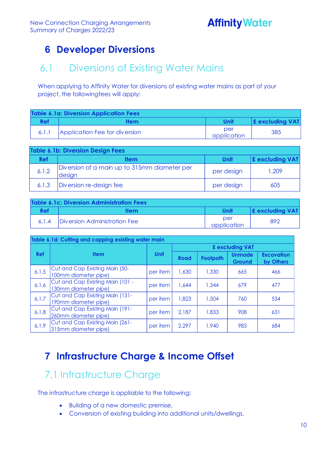### <span id="page-9-0"></span>**6 Developer Diversions**

### <span id="page-9-1"></span>6.1 Diversions of Existing Water Mains

When applying to Affinity Water for diversions of existing water mains as part of your project, the followingfees will apply:

| Table 6.1a: Diversion Application Fees |                               |                    |                            |  |  |
|----------------------------------------|-------------------------------|--------------------|----------------------------|--|--|
| <b>Ref</b>                             | ltem                          | <b>Unit</b>        | $\mathbf{E}$ excluding VAT |  |  |
|                                        | Application Fee for diversion | per<br>application | 385                        |  |  |

| Table 6.1b: Diversion Design Fees |                                                        |            |                        |  |  |
|-----------------------------------|--------------------------------------------------------|------------|------------------------|--|--|
| <b>Ref</b>                        | <b>Item</b>                                            | Unit       | <b>E</b> excluding VAT |  |  |
| 6.1.2                             | Diversion of a main up to 315mm diameter per<br>design | per design | 1.209                  |  |  |
| 6.1.3                             | Diversion re-design fee                                | per design | 605                    |  |  |

| Table 6.1c: Diversion Administration Fees |                              |                    |                            |  |  |
|-------------------------------------------|------------------------------|--------------------|----------------------------|--|--|
| Ref                                       | <b>Item</b>                  | Unit               | $\mathbf{E}$ excluding VAT |  |  |
|                                           | Diversion Administration Fee | per<br>application | 892                        |  |  |

| Table 6.1d: Cutting and capping existing water main |                                                          |          |                 |          |                         |                                |
|-----------------------------------------------------|----------------------------------------------------------|----------|-----------------|----------|-------------------------|--------------------------------|
|                                                     |                                                          |          | £ excluding VAT |          |                         |                                |
| <b>Ref</b>                                          | <b>Item</b>                                              | Unit     | Road            | Footpath | <b>Unmade</b><br>Ground | <b>Excavation</b><br>by Others |
| 6.1.5                                               | Cut and Cap Existing Main (50-<br>100mm diameter pipe)   | per item | 1,630           | 1,330    | 665                     | 466                            |
| 6.1.6                                               | Cut and Cap Existing Main (101 -<br>130mm diameter pipe) | per item | 1.644           | 1,344    | 679                     | 477                            |
| 6.1.7                                               | Cut and Cap Existing Main (131-<br>190mm diameter pipe)  | per item | 1,823           | 1,504    | 760                     | 534                            |
| 6.1.8                                               | Cut and Cap Existing Main (191-<br>260mm diameter pipe)  | per item | 2,187           | 1,833    | 908                     | 631                            |
| 6.1.9                                               | Cut and Cap Existing Main (261-<br>315mm diameter pipe)  | per item | 2,297           | 1,940    | 983                     | 684                            |

### <span id="page-9-2"></span>**7 Infrastructure Charge & Income Offset**

### <span id="page-9-3"></span>7.1 Infrastructure Charge

The infrastructure charge is appliable to the following:

- Building of a new domestic premise,
- Conversion of existing building into additional units/dwellings,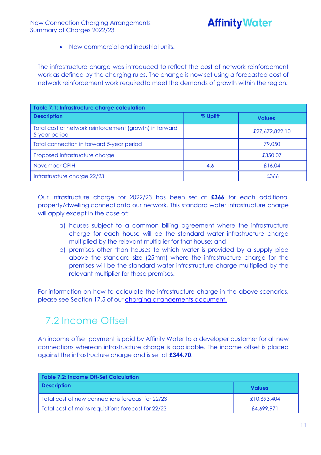• New commercial and industrial units.

The infrastructure charge was introduced to reflect the cost of network reinforcement work as defined by the charging rules. The change is now set using a forecasted cost of network reinforcement work requiredto meet the demands of growth within the region.

| Table 7.1: Infrastructure charge calculation                             |          |                |  |  |  |  |
|--------------------------------------------------------------------------|----------|----------------|--|--|--|--|
| <b>Description</b>                                                       | % Uplift | <b>Values</b>  |  |  |  |  |
| Total cost of network reinforcement (growth) in forward<br>5-year period |          | £27,672,822.10 |  |  |  |  |
| Total connection in forward 5-year period                                |          | 79,050         |  |  |  |  |
| Proposed infrastructure charge                                           |          | £350.07        |  |  |  |  |
| November CPIH                                                            | 4.6      | £16.04         |  |  |  |  |
| Infrastructure charge 22/23                                              |          | £366           |  |  |  |  |

Our Infrastructure charge for 2022/23 has been set at **£366** for each additional property/dwelling connectionto our network. This standard water infrastructure charge will apply except in the case of:

- a) houses subject to a common billing agreement where the infrastructure charge for each house will be the standard water infrastructure charge multiplied by the relevant multiplier for that house; and
- b) premises other than houses to which water is provided by a supply pipe above the standard size (25mm) where the infrastructure charge for the premises will be the standard water infrastructure charge multiplied by the relevant multiplier for those premises.

For information on how to calculate the infrastructure charge in the above scenarios, please see Section 17.5 of our charging [arrangements](https://www.affinitywater.co.uk/docs/developer/2022/New-Connection-Charging-Arrangements-22-23.pdf) document.

### <span id="page-10-0"></span>7.2 Income Offset

An income offset payment is paid by Affinity Water to a developer customer for all new connections wherean infrastructure charge is applicable. The income offset is placed against the infrastructure charge and is set at **£344.70**.

| Table 7.2: Income Off-Set Calculation               |               |  |  |  |  |  |  |  |  |  |
|-----------------------------------------------------|---------------|--|--|--|--|--|--|--|--|--|
| <b>Description</b>                                  | <b>Values</b> |  |  |  |  |  |  |  |  |  |
| Total cost of new connections forecast for 22/23    | £10,693,404   |  |  |  |  |  |  |  |  |  |
| Total cost of mains requisitions forecast for 22/23 | £4,699.971    |  |  |  |  |  |  |  |  |  |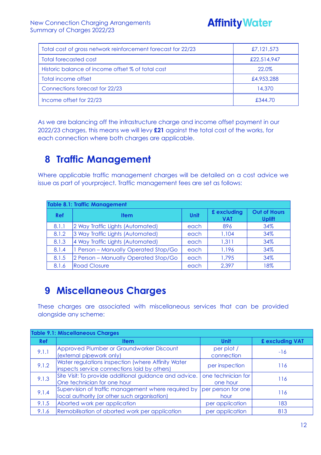# **Affinity Water**

| Total cost of gross network reinforcement forecast for 22/23 | £7,121,573  |
|--------------------------------------------------------------|-------------|
| Total forecasted cost                                        | £22,514,947 |
| Historic balance of income offset % of total cost            | 22.0%       |
| Total income offset                                          | £4,953,288  |
| Connections forecast for 22/23                               | 14,370      |
| Income offset for 22/23                                      | £344.70     |

As we are balancing off the infrastructure charge and income offset payment in our 2022/23 charges, this means we will levy **£21** against the total cost of the works, for each connection where both charges are applicable.

### <span id="page-11-0"></span>**8 Traffic Management**

Where applicable traffic management charges will be detailed on a cost advice we issue as part of yourproject. Traffic management fees are set as follows:

|            | <b>Table 8.1: Traffic Management</b> |             |                           |                                      |  |  |  |  |  |  |  |  |
|------------|--------------------------------------|-------------|---------------------------|--------------------------------------|--|--|--|--|--|--|--|--|
| <b>Ref</b> | <b>Item</b>                          | <b>Unit</b> | £ excluding<br><b>VAT</b> | <b>Out of Hours</b><br><b>Uplift</b> |  |  |  |  |  |  |  |  |
| 8.1.1      | 2 Way Traffic Lights (Automated)     | each        | 896                       | 34%                                  |  |  |  |  |  |  |  |  |
| 8.1.2      | 3 Way Traffic Lights (Automated)     | each        | 1,104                     | 34%                                  |  |  |  |  |  |  |  |  |
| 8.1.3      | 4 Way Traffic Lights (Automated)     | each        | 1,311                     | 34%                                  |  |  |  |  |  |  |  |  |
| 8.1.4      | 1 Person - Manually Operated Stop/Go | each        | 1,196                     | 34%                                  |  |  |  |  |  |  |  |  |
| 8.1.5      | 2 Person - Manually Operated Stop/Go | each        | 1,795                     | 34%                                  |  |  |  |  |  |  |  |  |
| 8.1.6      | <b>Road Closure</b>                  | each        | 2,397                     | 18%                                  |  |  |  |  |  |  |  |  |

### <span id="page-11-1"></span>**9 Miscellaneous Charges**

These charges are associated with miscellaneous services that can be provided alongside any scheme:

|            | <b>Table 9.1: Miscellaneous Charges</b>                                                             |                                |                 |
|------------|-----------------------------------------------------------------------------------------------------|--------------------------------|-----------------|
| <b>Ref</b> | <b>Item</b>                                                                                         | <b>Unit</b>                    | £ excluding VAT |
| 9.1.1      | Approved Plumber or Groundworker Discount<br>(external pipework only)                               | per plot /<br>connection       | $-16$           |
| 9.1.2      | Water regulations inspection (where Affinity Water<br>inspects service connections laid by others)  | per inspection                 | 116             |
| 9.1.3      | Site Visit: To provide additional guidance and advice.<br>One technician for one hour               | one technician for<br>one hour | 116             |
| 9.1.4      | Supervision of traffic management where required by<br>local authority (or other such organisation) | per person for one<br>hour     | 116             |
| 9.1.5      | Aborted work per application                                                                        | per application                | 183             |
| 9.1.6      | Remobilisation of aborted work per application                                                      | per application                | 813             |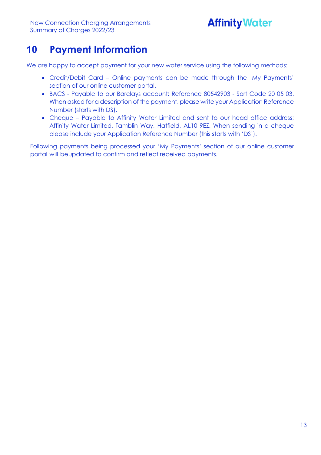# **Affinity Water**

### <span id="page-12-0"></span>**10 Payment Information**

We are happy to accept payment for your new water service using the following methods:

- Credit/Debit Card Online payments can be made through the 'My Payments' section of our online customer portal.
- BACS Payable to our Barclays account: Reference 80542903 Sort Code 20 05 03. When asked for a description of the payment, please write your Application Reference Number (starts with DS).
- Cheque Payable to Affinity Water Limited and sent to our head office address; Affinity Water Limited, Tamblin Way, Hatfield, AL10 9EZ. When sending in a cheque please include your Application Reference Number (this starts with 'DS').

Following payments being processed your 'My Payments' section of our online customer portal will beupdated to confirm and reflect received payments.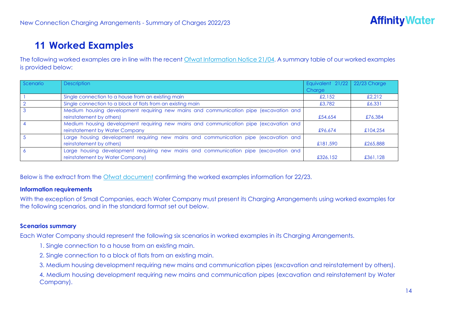### **11 Worked Examples**

The following worked examples are in line with the recent Ofwat [Information](https://www.ofwat.gov.uk/wp-content/uploads/2021/10/21-10-26-Information-notice-charging-information-requirements-Final.pdf) Notice 21/04. A summary table of our worked examples is provided below:

| Scenario | <b>Description</b>                                                                                                      | Equivalent 21/22 22/23 Charge |          |
|----------|-------------------------------------------------------------------------------------------------------------------------|-------------------------------|----------|
|          |                                                                                                                         | Charge                        |          |
|          | Single connection to a house from an existing main                                                                      | £2.152                        | £2.212   |
|          | Single connection to a block of flats from an existing main                                                             | £3,782                        | £6,331   |
|          | Medium housing development requiring new mains and communication pipe (excavation and<br>reinstatement by others)       | £54,654                       | £76,384  |
|          | Medium housing development requiring new mains and communication pipe (excavation and<br>reinstatement by Water Company | £96.674                       | £104,254 |
|          | Large housing development requiring new mains and communication pipe (excavation and<br>reinstatement by others)        | £181,590                      | £265,888 |
|          | Large housing development requiring new mains and communication pipe (excavation and<br>reinstatement by Water Company) | £326,152                      | £361,128 |

<span id="page-13-0"></span>Below is the extract from the [Ofwat document](https://www.ofwat.gov.uk/wp-content/uploads/2021/10/Common_Terms_And_Worked_Examples_Effective_April_2022.pdf) confirming the worked examples information for 22/23.

#### **Information requirements**

With the exception of Small Companies, each Water Company must present its Charging Arrangements using worked examples for the following scenarios, and in the standard format set out below.

#### **Scenarios summary**

Each Water Company should represent the following six scenarios in worked examples in its Charging Arrangements.

- 1. Single connection to a house from an existing main.
- 2. Single connection to a block of flats from an existing main.
- 3. Medium housing development requiring new mains and communication pipes (excavation and reinstatement by others).

4. Medium housing development requiring new mains and communication pipes (excavation and reinstatement by Water Company).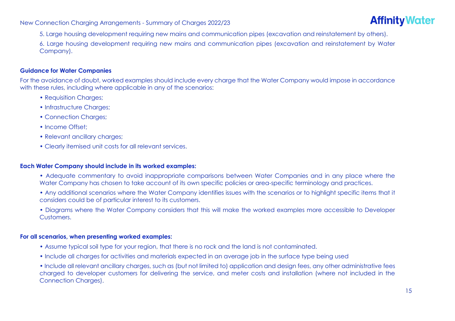

5. Large housing development requiring new mains and communication pipes (excavation and reinstatement by others).

6. Large housing development requiring new mains and communication pipes (excavation and reinstatement by Water Company).

#### **Guidance for Water Companies**

For the avoidance of doubt, worked examples should include every charge that the Water Company would impose in accordance with these rules, including where applicable in any of the scenarios:

- Requisition Charges;
- Infrastructure Charges;
- Connection Charges;
- Income Offset:
- Relevant ancillary charges;
- Clearly itemised unit costs for all relevant services.

#### **Each Water Company should include in its worked examples:**

- Adequate commentary to avoid inappropriate comparisons between Water Companies and in any place where the Water Company has chosen to take account of its own specific policies or area-specific terminology and practices.
- Any additional scenarios where the Water Company identifies issues with the scenarios or to highlight specific items that it considers could be of particular interest to its customers.

• Diagrams where the Water Company considers that this will make the worked examples more accessible to Developer Customers.

#### **For all scenarios, when presenting worked examples:**

- Assume typical soil type for your region, that there is no rock and the land is not contaminated.
- Include all charges for activities and materials expected in an average job in the surface type being used

• Include all relevant ancillary charges, such as (but not limited to) application and design fees, any other administrative fees charged to developer customers for delivering the service, and meter costs and installation (where not included in the Connection Charges).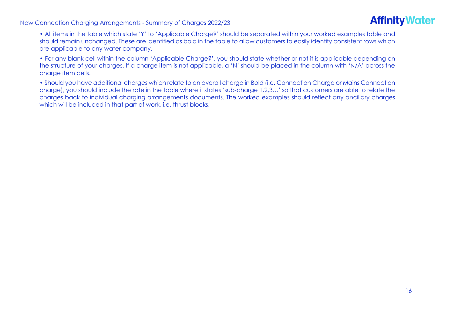

- All items in the table which state 'Y' to 'Applicable Charge?' should be separated within your worked examples table and should remain unchanged. These are identified as bold in the table to allow customers to easily identify consistent rows which are applicable to any water company.
- For any blank cell within the column 'Applicable Charge?', you should state whether or not it is applicable depending on the structure of your charges. If a charge item is not applicable, a 'N' should be placed in the column with 'N/A' across the charge item cells.
- Should you have additional charges which relate to an overall charge in Bold (i.e. Connection Charge or Mains Connection charge), you should include the rate in the table where it states 'sub-charge 1,2,3…' so that customers are able to relate the charges back to individual charging arrangements documents. The worked examples should reflect any ancillary charges which will be included in that part of work, i.e. thrust blocks.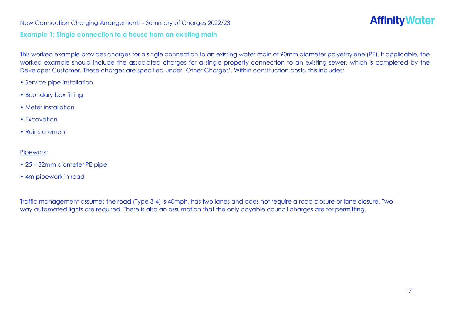#### **Example 1: Single connection to a house from an existing main**

This worked example provides charges for a single connection to an existing water main of 90mm diameter polyethylene (PE). If applicable, the worked example should include the associated charges for a single property connection to an existing sewer, which is completed by the Developer Customer. These charges are specified under 'Other Charges'. Within construction costs, this includes:

- Service pipe installation
- Boundary box fitting
- Meter installation
- Excavation
- Reinstatement

#### Pipework:

- 25 32mm diameter PE pipe
- 4m pipework in road

Traffic management assumes the road (Type 3-4) is 40mph, has two lanes and does not require a road closure or lane closure. Twoway automated lights are required. There is also an assumption that the only payable council charges are for permitting.

**Affinity Water**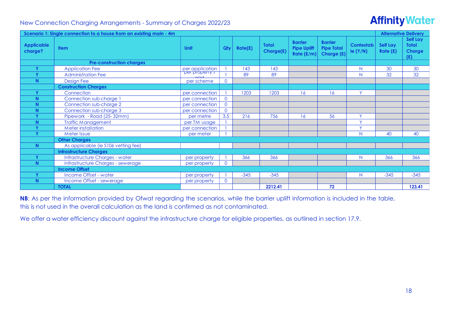# **Affinity Water**

|                              | <b>Alternative Delivery</b><br>Scenario 1: Single connection to a house from an existing main - 4m |                                   |                |         |                           |                                                      |                                                   |                       |                            |                                           |  |  |  |
|------------------------------|----------------------------------------------------------------------------------------------------|-----------------------------------|----------------|---------|---------------------------|------------------------------------------------------|---------------------------------------------------|-----------------------|----------------------------|-------------------------------------------|--|--|--|
| <b>Applicable</b><br>charge? | <b>Item</b>                                                                                        | Unit                              | Qtv            | Rate(f) | <b>Total</b><br>Charge(£) | <b>Barrier</b><br><b>Pipe Uplift</b><br>Rate $(E/m)$ | <b>Barrier</b><br><b>Pipe Total</b><br>Charge (£) | Contestab<br>le (Y/N) | <b>Self Lay</b><br>Rate(f) | Self Lay<br><b>Total</b><br>Charge<br>(E) |  |  |  |
|                              | <b>Pre-construction charges</b>                                                                    |                                   |                |         |                           |                                                      |                                                   |                       |                            |                                           |  |  |  |
| $\mathbf{v}$                 | <b>Application Fee</b>                                                                             | per application<br>per property / |                | 143     | 143                       |                                                      |                                                   | N                     | 30                         | 30                                        |  |  |  |
| $\mathbf{v}$                 | <b>Administration Fee</b>                                                                          | $n \sim +$                        |                | 89      | 89                        |                                                      |                                                   | N                     | 32                         | 32                                        |  |  |  |
| N.                           | Design Fee                                                                                         | per scheme                        | $\overline{0}$ |         |                           |                                                      |                                                   |                       |                            |                                           |  |  |  |
|                              | <b>Construction Charges</b>                                                                        |                                   |                |         |                           |                                                      |                                                   |                       |                            |                                           |  |  |  |
| $\mathbf{v}$                 | Connection                                                                                         | per connection                    |                | 1203    | 1203                      | 16                                                   | 16                                                | Y                     |                            |                                           |  |  |  |
| N                            | Connection sub-charge 1                                                                            | per connection                    | $\Omega$       |         |                           |                                                      |                                                   |                       |                            |                                           |  |  |  |
| N <sub>1</sub>               | Connection sub-charge 2                                                                            | per connection                    | $\Omega$       |         |                           |                                                      |                                                   |                       |                            |                                           |  |  |  |
| N                            | Connection sub-charge 3                                                                            | per connection                    | $\overline{0}$ |         |                           |                                                      |                                                   |                       |                            |                                           |  |  |  |
| $\mathbf{v}$                 | Pipework - Road (25-32mm)                                                                          | per metre                         | 3.5            | 216     | 756                       | 16                                                   | 56                                                | $\vee$                |                            |                                           |  |  |  |
| N.                           | <b>Traffic Management</b>                                                                          | per TM usage                      |                |         |                           |                                                      |                                                   | $\vee$                |                            |                                           |  |  |  |
| $\mathbf{v}$                 | <b>Meter installation</b>                                                                          | per connection                    |                |         |                           |                                                      |                                                   | $\vee$                |                            |                                           |  |  |  |
| $\checkmark$                 | Meter Issue                                                                                        | per meter                         |                |         |                           |                                                      |                                                   | N                     | 40                         | 40                                        |  |  |  |
|                              | <b>Other Charges</b>                                                                               |                                   |                |         |                           |                                                      |                                                   |                       |                            |                                           |  |  |  |
| N.                           | As applicable (ie \$106 vetting fee)                                                               |                                   |                |         |                           |                                                      |                                                   |                       |                            |                                           |  |  |  |
|                              | <b>Infrastructure Charges</b>                                                                      |                                   |                |         |                           |                                                      |                                                   |                       |                            |                                           |  |  |  |
| $\mathbf v$                  | Infrastructure Charges - water                                                                     | per property                      |                | 366     | 366                       |                                                      |                                                   | N                     | 366                        | 366                                       |  |  |  |
| N <sub>1</sub>               | Infrastructure Charges - sewerage                                                                  | per property                      | $\Omega$       |         |                           |                                                      |                                                   |                       |                            |                                           |  |  |  |
|                              | <b>Income Offset</b>                                                                               |                                   |                |         |                           |                                                      |                                                   |                       |                            |                                           |  |  |  |
| $\mathbf v$                  | Income Offset - water                                                                              | per property                      |                | $-345$  | $-345$                    |                                                      |                                                   | N                     | $-345$                     | $-345$                                    |  |  |  |
| N.                           | Income Offset - sewerage                                                                           | per property                      | $\Omega$       |         |                           |                                                      |                                                   |                       |                            |                                           |  |  |  |
|                              | <b>TOTAL</b>                                                                                       |                                   |                |         | 2212.41                   |                                                      | 72                                                |                       |                            | 123.41                                    |  |  |  |

**NB**: As per the information provided by Ofwat regarding the scenarios, while the barrier uplift information is included in the table, this is not used in the overall calculation as the land is confirmed as not contaminated.

We offer a water efficiency discount against the infrastructure charge for eligible properties, as outlined in section 17.9.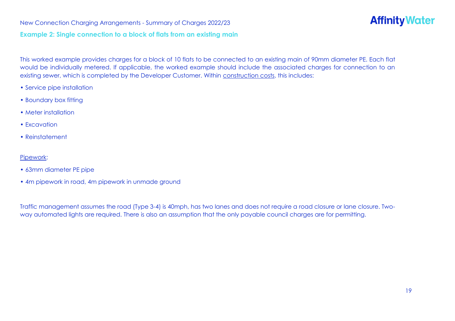#### **Example 2: Single connection to a block of flats from an existing main**

**Affinity Water** 

This worked example provides charges for a block of 10 flats to be connected to an existing main of 90mm diameter PE. Each flat would be individually metered. If applicable, the worked example should include the associated charges for connection to an existing sewer, which is completed by the Developer Customer. Within construction costs, this includes:

- Service pipe installation
- Boundary box fitting
- Meter installation
- Excavation
- Reinstatement

#### Pipework:

- 63mm diameter PE pipe
- 4m pipework in road, 4m pipework in unmade ground

Traffic management assumes the road (Type 3-4) is 40mph, has two lanes and does not require a road closure or lane closure. Twoway automated lights are required. There is also an assumption that the only payable council charges are for permitting.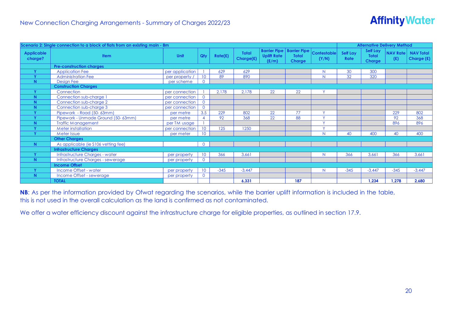# **Affinity Water**

|                              | Scenario 2: Single connection to a block of flats from an existing main - 8m |                 |                 |         |                           |                                                    |                                                      |                             |                                | <b>Alternative Delivery Method</b>        |                        |                                |
|------------------------------|------------------------------------------------------------------------------|-----------------|-----------------|---------|---------------------------|----------------------------------------------------|------------------------------------------------------|-----------------------------|--------------------------------|-------------------------------------------|------------------------|--------------------------------|
| <b>Applicable</b><br>charge? | <b>Item</b>                                                                  | Unit            | Qty             | Rate(f) | <b>Total</b><br>Charge(£) | <b>Barrier Pipe</b><br><b>Uplift Rate</b><br>(E/m) | <b>Barrier Pipe</b><br><b>Total</b><br><b>Charge</b> | <b>Contestable</b><br>(Y/N) | <b>Self Lay</b><br><b>Rate</b> | Self Lay<br><b>Total</b><br><b>Charge</b> | <b>NAV Rate</b><br>(E) | <b>NAV Total</b><br>Charge (£) |
|                              | <b>Pre-construction charges</b>                                              |                 |                 |         |                           |                                                    |                                                      |                             |                                |                                           |                        |                                |
| Y                            | <b>Application Fee</b>                                                       | per application |                 | 629     | 629                       |                                                    |                                                      | N                           | 30                             | 300                                       |                        |                                |
| $\mathbf{v}$                 | <b>Administration Fee</b>                                                    | per property /  | 10 <sup>°</sup> | 89      | 890                       |                                                    |                                                      | N                           | $\overline{32}$                | 320                                       |                        |                                |
| N                            | <b>Design Fee</b>                                                            | per scheme      | $\Omega$        |         |                           |                                                    |                                                      |                             |                                |                                           |                        |                                |
|                              | <b>Construction Charges</b>                                                  |                 |                 |         |                           |                                                    |                                                      |                             |                                |                                           |                        |                                |
| $\mathbf{v}$                 | Connection                                                                   | per connection  |                 | 2,178   | 2,178                     | 22                                                 | 22                                                   | $\checkmark$                |                                |                                           |                        |                                |
| N                            | Connection sub-charge 1                                                      | per connection  | $\overline{0}$  |         |                           |                                                    |                                                      |                             |                                |                                           |                        |                                |
| N                            | Connection sub-charge 2                                                      | per connection  | $\Omega$        |         |                           |                                                    |                                                      |                             |                                |                                           |                        |                                |
| N                            | Connection sub-charge 3                                                      | per connection  | $\overline{0}$  |         |                           |                                                    |                                                      |                             |                                |                                           |                        |                                |
|                              | Pipework - Road (50-63mm)                                                    | per metre       | 3.5             | 229     | 802                       | 22                                                 | 77                                                   | $\mathbf{v}$                |                                |                                           | 229                    | 802                            |
| $\mathbf{v}$                 | Pipework - Unmade Ground (50-63mm)                                           | per metre       |                 | 92      | 368                       | 22                                                 | 88                                                   | $\sqrt{ }$                  |                                |                                           | 92                     | 368                            |
| N                            | <b>Traffic Management</b>                                                    | per TM usage    |                 |         |                           |                                                    |                                                      | $\mathbf{v}$                |                                |                                           | 896                    | 896                            |
| $\mathbf{v}$                 | <b>Meter installation</b>                                                    | per connection  | 10 <sup>°</sup> | 125     | 1250                      |                                                    |                                                      | $\sqrt{}$                   |                                |                                           |                        |                                |
|                              | Meter Issue                                                                  | per meter       | 10 <sup>°</sup> |         |                           |                                                    |                                                      | N                           | 40                             | 400                                       | 40                     | 400                            |
|                              | <b>Other Charges</b>                                                         |                 |                 |         |                           |                                                    |                                                      |                             |                                |                                           |                        |                                |
| N.                           | As applicable (ie \$106 vetting fee)                                         |                 | $\overline{0}$  |         |                           |                                                    |                                                      |                             |                                |                                           |                        |                                |
|                              | <b>Infrastructure Charges</b>                                                |                 |                 |         |                           |                                                    |                                                      |                             |                                |                                           |                        |                                |
|                              | Infrastructure Charges - water                                               | per property    | 10              | 366     | 3,661                     |                                                    |                                                      | N                           | 366                            | 3,661                                     | 366                    | 3,661                          |
| N.                           | Infrastructure Charges - sewerage                                            | per property    | $\Omega$        |         |                           |                                                    |                                                      |                             |                                |                                           |                        |                                |
|                              | <b>Income Offset</b>                                                         |                 |                 |         |                           |                                                    |                                                      |                             |                                |                                           |                        |                                |
| $\mathbf{v}$                 | Income Offset - water                                                        | per property    | 10 <sup>°</sup> | $-345$  | $-3,447$                  |                                                    |                                                      | N                           | $-345$                         | $-3,447$                                  | $-345$                 | $-3,447$                       |
| N.                           | Income Offset - sewerage                                                     | per property    | $\overline{0}$  |         |                           |                                                    |                                                      |                             |                                |                                           |                        |                                |
|                              | <b>TOTAL</b>                                                                 |                 |                 |         | 6,331                     |                                                    | 187                                                  |                             |                                | 1,234                                     | 1,278                  | 2,680                          |

**NB**: As per the information provided by Ofwat regarding the scenarios, while the barrier uplift information is included in the table, this is not used in the overall calculation as the land is confirmed as not contaminated.

We offer a water efficiency discount against the infrastructure charge for eligible properties, as outlined in section 17.9.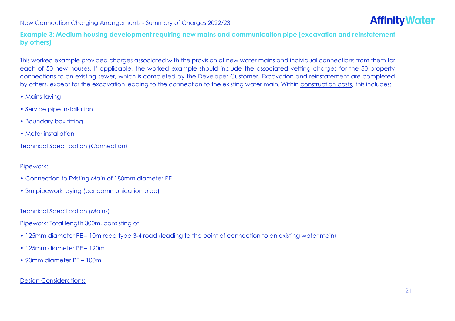

**Example 3: Medium housing development requiring new mains and communication pipe (excavation and reinstatement by others)**

This worked example provided charges associated with the provision of new water mains and individual connections from them for each of 50 new houses. If applicable, the worked example should include the associated vetting charges for the 50 property connections to an existing sewer, which is completed by the Developer Customer. Excavation and reinstatement are completed by others, except for the excavation leading to the connection to the existing water main. Within construction costs, this includes:

- Mains laying
- Service pipe installation
- Boundary box fitting
- Meter installation

Technical Specification (Connection)

#### Pipework:

- Connection to Existing Main of 180mm diameter PE
- 3m pipework laying (per communication pipe)

#### Technical Specification (Mains)

Pipework: Total length 300m, consisting of:

- 125mm diameter PE 10m road type 3-4 road (leading to the point of connection to an existing water main)
- 125mm diameter PE 190m
- 90mm diameter PE 100m

#### Design Considerations: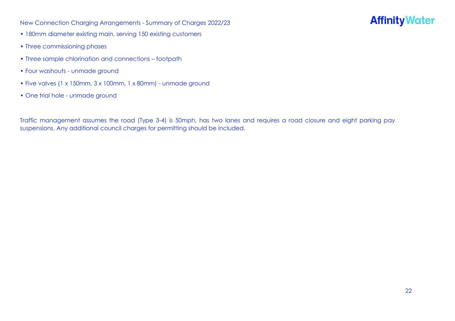# **Affinity Water**

- 180mm diameter existing main, serving 150 existing customers
- Three commissioning phases
- Three sample chlorination and connections footpath
- Four washouts unmade ground
- Five valves (1 x 150mm, 3 x 100mm, 1 x 80mm) unmade ground
- One trial hole unmade ground

Traffic management assumes the road (Type 3-4) is 50mph, has two lanes and requires a road closure and eight parking pay suspensions. Any additional council charges for permitting should be included.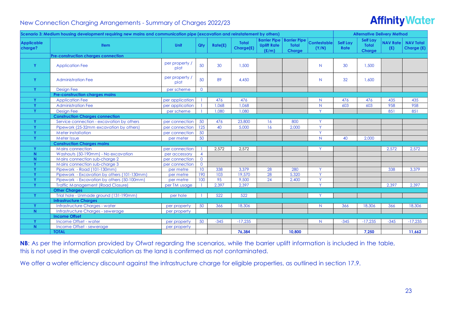# **Affinity Water**

|                              | Scenario 3: Medium housing development requiring new mains and communication pipe (excavation and reinstatement by others) |                        |                 |         |                           |                                                    |                                                      |                             |                                | <b>Alternative Delivery Method</b>        |                        |                                |
|------------------------------|----------------------------------------------------------------------------------------------------------------------------|------------------------|-----------------|---------|---------------------------|----------------------------------------------------|------------------------------------------------------|-----------------------------|--------------------------------|-------------------------------------------|------------------------|--------------------------------|
| <b>Applicable</b><br>charge? | <b>Item</b>                                                                                                                | Unit                   | Qty             | Rate(f) | <b>Total</b><br>Charge(£) | <b>Barrier Pipe</b><br><b>Uplift Rate</b><br>(E/m) | <b>Barrier Pipe</b><br><b>Total</b><br><b>Charge</b> | <b>Contestable</b><br>(Y/N) | <b>Self Lay</b><br><b>Rate</b> | <b>Self Lay</b><br><b>Total</b><br>Charge | <b>NAV Rate</b><br>(E) | <b>NAV Total</b><br>Charge (£) |
|                              | <b>Pre-construction charges connection</b>                                                                                 |                        |                 |         |                           |                                                    |                                                      |                             |                                |                                           |                        |                                |
| Y                            | <b>Application Fee</b>                                                                                                     | per property /<br>plot | 50              | 30      | 1.500                     |                                                    |                                                      | N                           | 30                             | 1,500                                     |                        |                                |
| Y                            | <b>Administration Fee</b>                                                                                                  | per property /<br>plot | 50              | 89      | 4.450                     |                                                    |                                                      | N.                          | 32 <sup>°</sup>                | 1.600                                     |                        |                                |
| Y                            | <b>Design Fee</b>                                                                                                          | per scheme             | $\overline{0}$  |         |                           |                                                    |                                                      |                             |                                |                                           |                        |                                |
|                              | Pre-construction charges mains                                                                                             |                        |                 |         |                           |                                                    |                                                      |                             |                                |                                           |                        |                                |
| Y                            | <b>Application Fee</b>                                                                                                     | per application        |                 | 476     | 476                       |                                                    |                                                      | N.                          | 476                            | 476                                       | 435                    | 435                            |
| Y                            | <b>Administration Fee</b>                                                                                                  | per application        |                 | 1,068   | 1,068                     |                                                    |                                                      | N                           | 603                            | 603                                       | 958                    | 958                            |
| Y                            | <b>Design Fee</b>                                                                                                          | per scheme             |                 | 1,080   | 1,080                     |                                                    |                                                      | Y.                          |                                |                                           | 851                    | 851                            |
|                              | <b>Construction Charges connection</b>                                                                                     |                        |                 |         |                           |                                                    |                                                      |                             |                                |                                           |                        |                                |
| Y                            | Service connection - excavation by others                                                                                  | per connection         | 50              | 476     | 23,800                    | 16                                                 | 800                                                  | Y.                          |                                |                                           |                        |                                |
| Y                            | Pipework (25-32mm excavation by others)                                                                                    | per connection         | 125             | 40      | 5,000                     | 16                                                 | 2,000                                                | Y.                          |                                |                                           |                        |                                |
| Y                            | <b>Meter installation</b>                                                                                                  | per connection         | 50              |         |                           |                                                    |                                                      | Y.                          |                                |                                           |                        |                                |
| Y                            | Meter Issue                                                                                                                | per meter              | 50              |         |                           |                                                    |                                                      | N                           | 40                             | 2.000                                     |                        |                                |
|                              | <b>Construction Charges mains</b>                                                                                          |                        |                 |         |                           |                                                    |                                                      |                             |                                |                                           |                        |                                |
| Y                            | Mains connection                                                                                                           | per connection         |                 | 2,572   | 2,572                     |                                                    |                                                      | Y                           |                                |                                           | 2,572                  | 2,572                          |
| N                            | Washouts (50-190mm) - No excavation                                                                                        | per accessory          | $\overline{4}$  |         |                           |                                                    |                                                      |                             |                                |                                           |                        |                                |
| N                            | Mains connection sub-charge 2                                                                                              | per connection         | $\overline{0}$  |         |                           |                                                    |                                                      |                             |                                |                                           |                        |                                |
| Y                            | Mains connection sub-charge 3                                                                                              | per connection         | $\overline{0}$  |         |                           |                                                    |                                                      |                             |                                |                                           |                        |                                |
| Y                            | Pipework - Road (101-130mm)                                                                                                | per metre              | 10 <sup>°</sup> | 338     | 3,379                     | 28                                                 | 280                                                  | Y                           |                                |                                           | 338                    | 3,379                          |
| Y                            | Pipework - Excavation by others (101-130mm)                                                                                | per metre              | 190             | 103     | 19,570                    | 28                                                 | 5.320                                                | Y.                          |                                |                                           |                        |                                |
| Y                            | Pipework - Excavation by others (50-100mm)                                                                                 | per metre              | 100             | 95      | 9,500                     | 24                                                 | 2,400                                                | Y.                          |                                |                                           |                        |                                |
| <b>Y</b>                     | <b>Traffic Management (Road Closure)</b>                                                                                   | per TM usage           |                 | 2,397   | 2,397                     |                                                    |                                                      | Y.                          |                                |                                           | 2,397                  | 2,397                          |
|                              | <b>Other Charges</b>                                                                                                       |                        |                 |         |                           |                                                    |                                                      | $\vee$                      |                                |                                           |                        |                                |
| Y.                           | Trial hole - Unmade ground (131-190mm)                                                                                     | per hole               |                 | 522     | 522                       |                                                    |                                                      |                             |                                |                                           |                        |                                |
|                              | <b>Infrastructure Charges</b>                                                                                              |                        |                 |         |                           |                                                    |                                                      |                             |                                |                                           |                        |                                |
| Y                            | Infrastructure Charges - water                                                                                             | per property           | 50              | 366     | 18,306                    |                                                    |                                                      | N                           | 366                            | 18,306                                    | 366                    | 18,306                         |
| N                            | Infrastructure Charges - sewerage<br><b>Income Offset</b>                                                                  | per property           |                 |         |                           |                                                    |                                                      |                             |                                |                                           |                        |                                |
| Y                            | Income Offset - water                                                                                                      |                        | 50              | $-345$  | $-17,235$                 |                                                    |                                                      | N                           | $-345$                         | $-17,235$                                 | $-345$                 | $-17,235$                      |
| N                            | Income Offset - sewerage                                                                                                   | per property           |                 |         |                           |                                                    |                                                      |                             |                                |                                           |                        |                                |
|                              | <b>TOTAL</b>                                                                                                               | per property           |                 |         | 76.384                    |                                                    | 10,800                                               |                             |                                | 7.250                                     |                        | 11,662                         |
|                              |                                                                                                                            |                        |                 |         |                           |                                                    |                                                      |                             |                                |                                           |                        |                                |

**NB**: As per the information provided by Ofwat regarding the scenarios, while the barrier uplift information is included in the table, this is not used in the overall calculation as the land is confirmed as not contaminated.

We offer a water efficiency discount against the infrastructure charge for eligible properties, as outlined in section 17.9.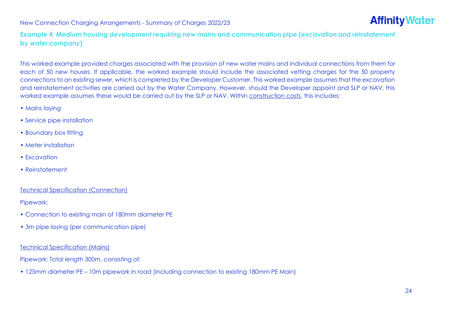

**Example 4: Medium housing development requiring new mains and communication pipe (excavation and reinstatement by water company)**

This worked example provided charges associated with the provision of new water mains and individual connections from them for each of 50 new houses. If applicable, the worked example should include the associated vetting charges for the 50 property connections to an existing sewer, which is completed by the Developer Customer. This worked example assumes that the excavation and reinstatement activities are carried out by the Water Company. However, should the Developer appoint and SLP or NAV, this worked example assumes these would be carried out by the SLP or NAV. Within construction costs, this includes:

- Mains laying
- Service pipe installation
- Boundary box fitting
- Meter installation
- Excavation
- Reinstatement

#### Technical Specification (Connection)

Pipework:

- Connection to existing main of 180mm diameter PE
- 3m pipe laying (per communication pipe)

#### Technical Specification (Mains)

Pipework: Total length 300m, consisting of:

• 125mm diameter PE – 10m pipework in road (including connection to existing 180mm PE Main)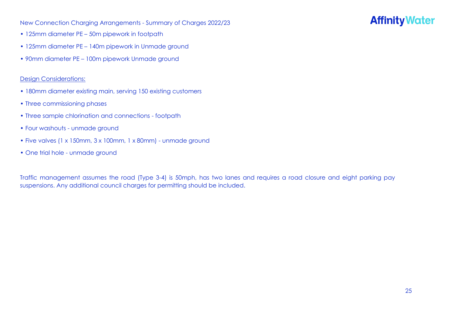# **Affinity Water**

- 125mm diameter PE 50m pipework in footpath
- 125mm diameter PE 140m pipework in Unmade ground
- 90mm diameter PE 100m pipework Unmade ground

#### Design Considerations:

- 180mm diameter existing main, serving 150 existing customers
- Three commissioning phases
- Three sample chlorination and connections footpath
- Four washouts unmade ground
- Five valves (1 x 150mm, 3 x 100mm, 1 x 80mm) unmade ground
- One trial hole unmade ground

Traffic management assumes the road (Type 3-4) is 50mph, has two lanes and requires a road closure and eight parking pay suspensions. Any additional council charges for permitting should be included.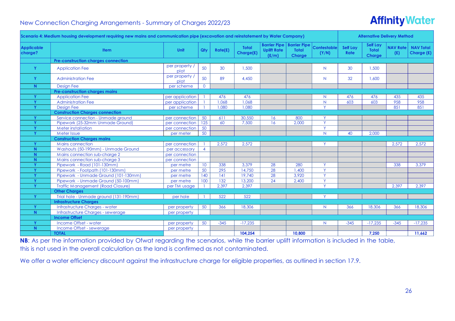# **Affinity Water**

| <b>Barrier Pipe   Barrier Pipe</b><br><b>Self Lay</b><br><b>Contestable</b><br><b>Self Lay</b><br><b>NAV Rate</b><br><b>NAV Total</b><br><b>Total</b><br><b>Uplift Rate</b><br><b>Item</b><br>Unit<br>Qty<br>Rate(f)<br><b>Total</b><br><b>Total</b><br>Charge(£)<br>(Y/N)<br><b>Rate</b><br>(E)<br>Charge (£)<br>(E/m)<br><b>Charge</b><br><b>Charge</b><br><b>Pre-construction charges connection</b><br>per property /<br>50<br>Y<br>30<br>1,500<br>30<br>1.500<br><b>Application Fee</b><br>N.<br>plot<br>per property /<br>50<br>32<br>Y<br>89<br>4,450<br>1,600<br><b>Administration Fee</b><br>N.<br>plot<br><b>Design Fee</b><br>$\overline{0}$<br>N<br>per scheme<br><b>Pre-construction charges mains</b><br>Y<br><b>Application Fee</b><br>per application<br>476<br>476<br>476<br>476<br>435<br>435<br>N.<br>1,068<br>1,068<br>603<br>603<br>958<br>958<br>Y<br><b>Administration Fee</b><br>per application<br>N<br>Y.<br>851<br>851<br>Y<br><b>Design Fee</b><br>1,080<br>1,080<br>per scheme<br><b>Construction Charges connection</b><br>Service connection - Unmade ground<br>per connection<br>50<br>611<br>30,550<br>800<br>Y<br>16<br><b>V</b><br>125<br>Y.<br>60<br>16<br>2,000<br>Y<br>Pipework (25-32mm Unmade Ground)<br>7,500<br>per connection<br>Y.<br>50<br>$\mathbf v$<br>Meter installation<br>per connection<br>N<br>$\mathbf{v}$<br>50<br>40<br>2,000<br>Meter Issue<br>per meter<br><b>Construction Charges mains</b><br>Y<br>Mains connection<br>2.572<br>2.572<br>Y<br>2.572<br>2.572<br>per connection<br>Washouts (50-190mm) - Unmade Ground<br>N<br>$\overline{4}$<br>per accessory<br>Mains connection sub-charge 2<br>N.<br>per connection<br>Mains connection sub-charge 3<br>$\mathsf{N}$<br>per connection<br>Pipework - Road (101-130mm)<br>3,379<br>280<br>338<br>v<br>10 <sup>°</sup><br>338<br>28<br>Y.<br>3,379<br>per metre<br>Y.<br>Pipework - Footpath (101-130mm)<br>50<br>295<br>14,750<br>28<br>1,400<br>Y<br>per metre<br>Y<br>28<br>Y.<br>Pipework - Unmade Ground (101-130mm)<br>140<br>141<br>19,740<br>3,920<br>per metre<br>Pipework - Unmade Ground (50-100mm)<br>100<br>132<br>13,200<br>24<br>Y<br>Y<br>2,400<br>per metre<br>2,397<br>2,397<br>Y.<br>2,397<br><b>Traffic Management (Road Closure)</b><br>2,397<br>Y<br>per TM usage<br><b>Other Charges</b><br>522<br>Trial hole - Unmade ground (131-190mm)<br>522<br>$\vee$<br>Y<br>per hole<br><b>Infrastructure Charges</b><br>Infrastructure Charges - water<br>366<br>366<br>366<br>Y<br>50<br>18,306<br>18,306<br>18,306<br>N.<br>per property<br>N<br>Infrastructure Charges - sewerage<br>per property<br><b>Income Offset</b><br>Income Offset - water<br>$-17.235$<br>$-17,235$<br>Y<br>50<br>$-345$<br>$-17.235$<br>$-345$<br>$-345$<br>N.<br>per property<br>Income Offset - sewerage<br>N.<br>per property<br><b>TOTAL</b><br>11,662<br>104,254<br>10,800<br>7,250 |                              | Scenario 4: Medium housing development requiring new mains and communication pipe (excavation and reinstatement by Water Company) |  |  |  |  | <b>Alternative Delivery Method</b> |  |
|---------------------------------------------------------------------------------------------------------------------------------------------------------------------------------------------------------------------------------------------------------------------------------------------------------------------------------------------------------------------------------------------------------------------------------------------------------------------------------------------------------------------------------------------------------------------------------------------------------------------------------------------------------------------------------------------------------------------------------------------------------------------------------------------------------------------------------------------------------------------------------------------------------------------------------------------------------------------------------------------------------------------------------------------------------------------------------------------------------------------------------------------------------------------------------------------------------------------------------------------------------------------------------------------------------------------------------------------------------------------------------------------------------------------------------------------------------------------------------------------------------------------------------------------------------------------------------------------------------------------------------------------------------------------------------------------------------------------------------------------------------------------------------------------------------------------------------------------------------------------------------------------------------------------------------------------------------------------------------------------------------------------------------------------------------------------------------------------------------------------------------------------------------------------------------------------------------------------------------------------------------------------------------------------------------------------------------------------------------------------------------------------------------------------------------------------------------------------------------------------------------------------------------------------------------------------------------------------------------------------------------------------------------------------------------------------------------------------------------------------------------------------------------------------------------------------------------------------------------------------------------------------------|------------------------------|-----------------------------------------------------------------------------------------------------------------------------------|--|--|--|--|------------------------------------|--|
|                                                                                                                                                                                                                                                                                                                                                                                                                                                                                                                                                                                                                                                                                                                                                                                                                                                                                                                                                                                                                                                                                                                                                                                                                                                                                                                                                                                                                                                                                                                                                                                                                                                                                                                                                                                                                                                                                                                                                                                                                                                                                                                                                                                                                                                                                                                                                                                                                                                                                                                                                                                                                                                                                                                                                                                                                                                                                                   | <b>Applicable</b><br>charge? |                                                                                                                                   |  |  |  |  |                                    |  |
|                                                                                                                                                                                                                                                                                                                                                                                                                                                                                                                                                                                                                                                                                                                                                                                                                                                                                                                                                                                                                                                                                                                                                                                                                                                                                                                                                                                                                                                                                                                                                                                                                                                                                                                                                                                                                                                                                                                                                                                                                                                                                                                                                                                                                                                                                                                                                                                                                                                                                                                                                                                                                                                                                                                                                                                                                                                                                                   |                              |                                                                                                                                   |  |  |  |  |                                    |  |
|                                                                                                                                                                                                                                                                                                                                                                                                                                                                                                                                                                                                                                                                                                                                                                                                                                                                                                                                                                                                                                                                                                                                                                                                                                                                                                                                                                                                                                                                                                                                                                                                                                                                                                                                                                                                                                                                                                                                                                                                                                                                                                                                                                                                                                                                                                                                                                                                                                                                                                                                                                                                                                                                                                                                                                                                                                                                                                   |                              |                                                                                                                                   |  |  |  |  |                                    |  |
|                                                                                                                                                                                                                                                                                                                                                                                                                                                                                                                                                                                                                                                                                                                                                                                                                                                                                                                                                                                                                                                                                                                                                                                                                                                                                                                                                                                                                                                                                                                                                                                                                                                                                                                                                                                                                                                                                                                                                                                                                                                                                                                                                                                                                                                                                                                                                                                                                                                                                                                                                                                                                                                                                                                                                                                                                                                                                                   |                              |                                                                                                                                   |  |  |  |  |                                    |  |
|                                                                                                                                                                                                                                                                                                                                                                                                                                                                                                                                                                                                                                                                                                                                                                                                                                                                                                                                                                                                                                                                                                                                                                                                                                                                                                                                                                                                                                                                                                                                                                                                                                                                                                                                                                                                                                                                                                                                                                                                                                                                                                                                                                                                                                                                                                                                                                                                                                                                                                                                                                                                                                                                                                                                                                                                                                                                                                   |                              |                                                                                                                                   |  |  |  |  |                                    |  |
|                                                                                                                                                                                                                                                                                                                                                                                                                                                                                                                                                                                                                                                                                                                                                                                                                                                                                                                                                                                                                                                                                                                                                                                                                                                                                                                                                                                                                                                                                                                                                                                                                                                                                                                                                                                                                                                                                                                                                                                                                                                                                                                                                                                                                                                                                                                                                                                                                                                                                                                                                                                                                                                                                                                                                                                                                                                                                                   |                              |                                                                                                                                   |  |  |  |  |                                    |  |
|                                                                                                                                                                                                                                                                                                                                                                                                                                                                                                                                                                                                                                                                                                                                                                                                                                                                                                                                                                                                                                                                                                                                                                                                                                                                                                                                                                                                                                                                                                                                                                                                                                                                                                                                                                                                                                                                                                                                                                                                                                                                                                                                                                                                                                                                                                                                                                                                                                                                                                                                                                                                                                                                                                                                                                                                                                                                                                   |                              |                                                                                                                                   |  |  |  |  |                                    |  |
|                                                                                                                                                                                                                                                                                                                                                                                                                                                                                                                                                                                                                                                                                                                                                                                                                                                                                                                                                                                                                                                                                                                                                                                                                                                                                                                                                                                                                                                                                                                                                                                                                                                                                                                                                                                                                                                                                                                                                                                                                                                                                                                                                                                                                                                                                                                                                                                                                                                                                                                                                                                                                                                                                                                                                                                                                                                                                                   |                              |                                                                                                                                   |  |  |  |  |                                    |  |
|                                                                                                                                                                                                                                                                                                                                                                                                                                                                                                                                                                                                                                                                                                                                                                                                                                                                                                                                                                                                                                                                                                                                                                                                                                                                                                                                                                                                                                                                                                                                                                                                                                                                                                                                                                                                                                                                                                                                                                                                                                                                                                                                                                                                                                                                                                                                                                                                                                                                                                                                                                                                                                                                                                                                                                                                                                                                                                   |                              |                                                                                                                                   |  |  |  |  |                                    |  |
|                                                                                                                                                                                                                                                                                                                                                                                                                                                                                                                                                                                                                                                                                                                                                                                                                                                                                                                                                                                                                                                                                                                                                                                                                                                                                                                                                                                                                                                                                                                                                                                                                                                                                                                                                                                                                                                                                                                                                                                                                                                                                                                                                                                                                                                                                                                                                                                                                                                                                                                                                                                                                                                                                                                                                                                                                                                                                                   |                              |                                                                                                                                   |  |  |  |  |                                    |  |
|                                                                                                                                                                                                                                                                                                                                                                                                                                                                                                                                                                                                                                                                                                                                                                                                                                                                                                                                                                                                                                                                                                                                                                                                                                                                                                                                                                                                                                                                                                                                                                                                                                                                                                                                                                                                                                                                                                                                                                                                                                                                                                                                                                                                                                                                                                                                                                                                                                                                                                                                                                                                                                                                                                                                                                                                                                                                                                   |                              |                                                                                                                                   |  |  |  |  |                                    |  |
|                                                                                                                                                                                                                                                                                                                                                                                                                                                                                                                                                                                                                                                                                                                                                                                                                                                                                                                                                                                                                                                                                                                                                                                                                                                                                                                                                                                                                                                                                                                                                                                                                                                                                                                                                                                                                                                                                                                                                                                                                                                                                                                                                                                                                                                                                                                                                                                                                                                                                                                                                                                                                                                                                                                                                                                                                                                                                                   |                              |                                                                                                                                   |  |  |  |  |                                    |  |
|                                                                                                                                                                                                                                                                                                                                                                                                                                                                                                                                                                                                                                                                                                                                                                                                                                                                                                                                                                                                                                                                                                                                                                                                                                                                                                                                                                                                                                                                                                                                                                                                                                                                                                                                                                                                                                                                                                                                                                                                                                                                                                                                                                                                                                                                                                                                                                                                                                                                                                                                                                                                                                                                                                                                                                                                                                                                                                   |                              |                                                                                                                                   |  |  |  |  |                                    |  |
|                                                                                                                                                                                                                                                                                                                                                                                                                                                                                                                                                                                                                                                                                                                                                                                                                                                                                                                                                                                                                                                                                                                                                                                                                                                                                                                                                                                                                                                                                                                                                                                                                                                                                                                                                                                                                                                                                                                                                                                                                                                                                                                                                                                                                                                                                                                                                                                                                                                                                                                                                                                                                                                                                                                                                                                                                                                                                                   |                              |                                                                                                                                   |  |  |  |  |                                    |  |
|                                                                                                                                                                                                                                                                                                                                                                                                                                                                                                                                                                                                                                                                                                                                                                                                                                                                                                                                                                                                                                                                                                                                                                                                                                                                                                                                                                                                                                                                                                                                                                                                                                                                                                                                                                                                                                                                                                                                                                                                                                                                                                                                                                                                                                                                                                                                                                                                                                                                                                                                                                                                                                                                                                                                                                                                                                                                                                   |                              |                                                                                                                                   |  |  |  |  |                                    |  |
|                                                                                                                                                                                                                                                                                                                                                                                                                                                                                                                                                                                                                                                                                                                                                                                                                                                                                                                                                                                                                                                                                                                                                                                                                                                                                                                                                                                                                                                                                                                                                                                                                                                                                                                                                                                                                                                                                                                                                                                                                                                                                                                                                                                                                                                                                                                                                                                                                                                                                                                                                                                                                                                                                                                                                                                                                                                                                                   |                              |                                                                                                                                   |  |  |  |  |                                    |  |
|                                                                                                                                                                                                                                                                                                                                                                                                                                                                                                                                                                                                                                                                                                                                                                                                                                                                                                                                                                                                                                                                                                                                                                                                                                                                                                                                                                                                                                                                                                                                                                                                                                                                                                                                                                                                                                                                                                                                                                                                                                                                                                                                                                                                                                                                                                                                                                                                                                                                                                                                                                                                                                                                                                                                                                                                                                                                                                   |                              |                                                                                                                                   |  |  |  |  |                                    |  |
|                                                                                                                                                                                                                                                                                                                                                                                                                                                                                                                                                                                                                                                                                                                                                                                                                                                                                                                                                                                                                                                                                                                                                                                                                                                                                                                                                                                                                                                                                                                                                                                                                                                                                                                                                                                                                                                                                                                                                                                                                                                                                                                                                                                                                                                                                                                                                                                                                                                                                                                                                                                                                                                                                                                                                                                                                                                                                                   |                              |                                                                                                                                   |  |  |  |  |                                    |  |
|                                                                                                                                                                                                                                                                                                                                                                                                                                                                                                                                                                                                                                                                                                                                                                                                                                                                                                                                                                                                                                                                                                                                                                                                                                                                                                                                                                                                                                                                                                                                                                                                                                                                                                                                                                                                                                                                                                                                                                                                                                                                                                                                                                                                                                                                                                                                                                                                                                                                                                                                                                                                                                                                                                                                                                                                                                                                                                   |                              |                                                                                                                                   |  |  |  |  |                                    |  |
|                                                                                                                                                                                                                                                                                                                                                                                                                                                                                                                                                                                                                                                                                                                                                                                                                                                                                                                                                                                                                                                                                                                                                                                                                                                                                                                                                                                                                                                                                                                                                                                                                                                                                                                                                                                                                                                                                                                                                                                                                                                                                                                                                                                                                                                                                                                                                                                                                                                                                                                                                                                                                                                                                                                                                                                                                                                                                                   |                              |                                                                                                                                   |  |  |  |  |                                    |  |
|                                                                                                                                                                                                                                                                                                                                                                                                                                                                                                                                                                                                                                                                                                                                                                                                                                                                                                                                                                                                                                                                                                                                                                                                                                                                                                                                                                                                                                                                                                                                                                                                                                                                                                                                                                                                                                                                                                                                                                                                                                                                                                                                                                                                                                                                                                                                                                                                                                                                                                                                                                                                                                                                                                                                                                                                                                                                                                   |                              |                                                                                                                                   |  |  |  |  |                                    |  |
|                                                                                                                                                                                                                                                                                                                                                                                                                                                                                                                                                                                                                                                                                                                                                                                                                                                                                                                                                                                                                                                                                                                                                                                                                                                                                                                                                                                                                                                                                                                                                                                                                                                                                                                                                                                                                                                                                                                                                                                                                                                                                                                                                                                                                                                                                                                                                                                                                                                                                                                                                                                                                                                                                                                                                                                                                                                                                                   |                              |                                                                                                                                   |  |  |  |  |                                    |  |
|                                                                                                                                                                                                                                                                                                                                                                                                                                                                                                                                                                                                                                                                                                                                                                                                                                                                                                                                                                                                                                                                                                                                                                                                                                                                                                                                                                                                                                                                                                                                                                                                                                                                                                                                                                                                                                                                                                                                                                                                                                                                                                                                                                                                                                                                                                                                                                                                                                                                                                                                                                                                                                                                                                                                                                                                                                                                                                   |                              |                                                                                                                                   |  |  |  |  |                                    |  |
|                                                                                                                                                                                                                                                                                                                                                                                                                                                                                                                                                                                                                                                                                                                                                                                                                                                                                                                                                                                                                                                                                                                                                                                                                                                                                                                                                                                                                                                                                                                                                                                                                                                                                                                                                                                                                                                                                                                                                                                                                                                                                                                                                                                                                                                                                                                                                                                                                                                                                                                                                                                                                                                                                                                                                                                                                                                                                                   |                              |                                                                                                                                   |  |  |  |  |                                    |  |
|                                                                                                                                                                                                                                                                                                                                                                                                                                                                                                                                                                                                                                                                                                                                                                                                                                                                                                                                                                                                                                                                                                                                                                                                                                                                                                                                                                                                                                                                                                                                                                                                                                                                                                                                                                                                                                                                                                                                                                                                                                                                                                                                                                                                                                                                                                                                                                                                                                                                                                                                                                                                                                                                                                                                                                                                                                                                                                   |                              |                                                                                                                                   |  |  |  |  |                                    |  |
|                                                                                                                                                                                                                                                                                                                                                                                                                                                                                                                                                                                                                                                                                                                                                                                                                                                                                                                                                                                                                                                                                                                                                                                                                                                                                                                                                                                                                                                                                                                                                                                                                                                                                                                                                                                                                                                                                                                                                                                                                                                                                                                                                                                                                                                                                                                                                                                                                                                                                                                                                                                                                                                                                                                                                                                                                                                                                                   |                              |                                                                                                                                   |  |  |  |  |                                    |  |
|                                                                                                                                                                                                                                                                                                                                                                                                                                                                                                                                                                                                                                                                                                                                                                                                                                                                                                                                                                                                                                                                                                                                                                                                                                                                                                                                                                                                                                                                                                                                                                                                                                                                                                                                                                                                                                                                                                                                                                                                                                                                                                                                                                                                                                                                                                                                                                                                                                                                                                                                                                                                                                                                                                                                                                                                                                                                                                   |                              |                                                                                                                                   |  |  |  |  |                                    |  |
|                                                                                                                                                                                                                                                                                                                                                                                                                                                                                                                                                                                                                                                                                                                                                                                                                                                                                                                                                                                                                                                                                                                                                                                                                                                                                                                                                                                                                                                                                                                                                                                                                                                                                                                                                                                                                                                                                                                                                                                                                                                                                                                                                                                                                                                                                                                                                                                                                                                                                                                                                                                                                                                                                                                                                                                                                                                                                                   |                              |                                                                                                                                   |  |  |  |  |                                    |  |
|                                                                                                                                                                                                                                                                                                                                                                                                                                                                                                                                                                                                                                                                                                                                                                                                                                                                                                                                                                                                                                                                                                                                                                                                                                                                                                                                                                                                                                                                                                                                                                                                                                                                                                                                                                                                                                                                                                                                                                                                                                                                                                                                                                                                                                                                                                                                                                                                                                                                                                                                                                                                                                                                                                                                                                                                                                                                                                   |                              |                                                                                                                                   |  |  |  |  |                                    |  |
|                                                                                                                                                                                                                                                                                                                                                                                                                                                                                                                                                                                                                                                                                                                                                                                                                                                                                                                                                                                                                                                                                                                                                                                                                                                                                                                                                                                                                                                                                                                                                                                                                                                                                                                                                                                                                                                                                                                                                                                                                                                                                                                                                                                                                                                                                                                                                                                                                                                                                                                                                                                                                                                                                                                                                                                                                                                                                                   |                              |                                                                                                                                   |  |  |  |  |                                    |  |
|                                                                                                                                                                                                                                                                                                                                                                                                                                                                                                                                                                                                                                                                                                                                                                                                                                                                                                                                                                                                                                                                                                                                                                                                                                                                                                                                                                                                                                                                                                                                                                                                                                                                                                                                                                                                                                                                                                                                                                                                                                                                                                                                                                                                                                                                                                                                                                                                                                                                                                                                                                                                                                                                                                                                                                                                                                                                                                   |                              |                                                                                                                                   |  |  |  |  |                                    |  |
|                                                                                                                                                                                                                                                                                                                                                                                                                                                                                                                                                                                                                                                                                                                                                                                                                                                                                                                                                                                                                                                                                                                                                                                                                                                                                                                                                                                                                                                                                                                                                                                                                                                                                                                                                                                                                                                                                                                                                                                                                                                                                                                                                                                                                                                                                                                                                                                                                                                                                                                                                                                                                                                                                                                                                                                                                                                                                                   |                              |                                                                                                                                   |  |  |  |  |                                    |  |

**NB**: As per the information provided by Ofwat regarding the scenarios, while the barrier uplift information is included in the table, this is not used in the overall calculation as the land is confirmed as not contaminated.

We offer a water efficiency discount against the infrastructure charge for eligible properties, as outlined in section 17.9.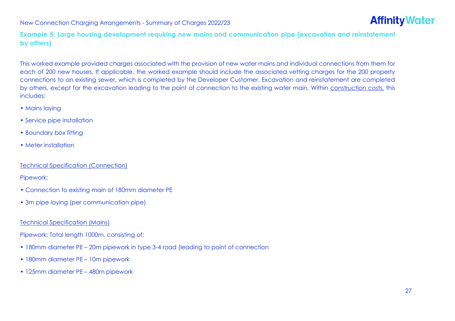

**Example 5: Large housing development requiring new mains and communication pipe (excavation and reinstatement by others)**

This worked example provided charges associated with the provision of new water mains and individual connections from them for each of 200 new houses. If applicable, the worked example should include the associated vetting charges for the 200 property connections to an existing sewer, which is completed by the Developer Customer. Excavation and reinstatement are completed by others, except for the excavation leading to the point of connection to the existing water main. Within construction costs, this includes:

- Mains laying
- Service pipe installation
- Boundary box fitting
- Meter installation

Technical Specification (Connection)

Pipework:

- Connection to existing main of 180mm diameter PE
- 3m pipe laying (per communication pipe)

#### Technical Specification (Mains)

Pipework: Total length 1000m, consisting of:

- 180mm diameter PE 20m pipework in type 3-4 road (leading to point of connection
- 180mm diameter PE 10m pipework
- 125mm diameter PE 480m pipework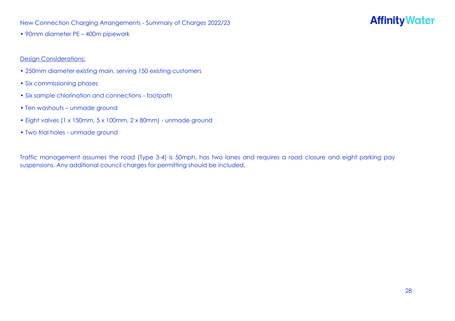### **Affinity Water**

• 90mm diameter PE – 400m pipework

#### Design Considerations:

- 250mm diameter existing main, serving 150 existing customers
- Six commissioning phases
- Six sample chlorination and connections footpath
- Ten washouts unmade ground
- Eight valves (1 x 150mm, 5 x 100mm, 2 x 80mm) unmade ground
- Two trial holes unmade ground

Traffic management assumes the road (Type 3-4) is 50mph, has two lanes and requires a road closure and eight parking pay suspensions. Any additional council charges for permitting should be included.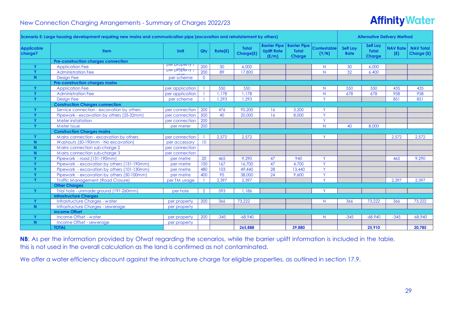# **Affinity Water**

|                              | Scenario 5: Large housing development requiring new mains and communication pipe (excavation and reinstatement by others) |                                       |                 |         |                           |                                                    |                                                      |                             |                         | <b>Alternative Delivery Method</b>               |                        |                                |
|------------------------------|---------------------------------------------------------------------------------------------------------------------------|---------------------------------------|-----------------|---------|---------------------------|----------------------------------------------------|------------------------------------------------------|-----------------------------|-------------------------|--------------------------------------------------|------------------------|--------------------------------|
| <b>Applicable</b><br>charge? | <b>Item</b>                                                                                                               | Unit                                  | Qty             | Rate(E) | <b>Total</b><br>Charge(£) | <b>Barrier Pipe</b><br><b>Uplift Rate</b><br>(E/m) | <b>Barrier Pipe</b><br><b>Total</b><br><b>Charge</b> | <b>Contestable</b><br>(Y/N) | Self Lay<br><b>Rate</b> | <b>Self Lay</b><br><b>Total</b><br><b>Charge</b> | <b>NAV Rate</b><br>(E) | <b>NAV Total</b><br>Charge (£) |
|                              | Pre-construction charges connection                                                                                       |                                       |                 |         |                           |                                                    |                                                      |                             |                         |                                                  |                        |                                |
| Y                            | <b>Application Fee</b>                                                                                                    | <u> Dei bioberiy l</u>                | 200             | 30      | 6.000                     |                                                    |                                                      | N.                          | 30                      | 6.000                                            |                        |                                |
| Ÿ                            | <b>Administration Fee</b>                                                                                                 | <del>, <sub>T</sub>ynstûdig isg</del> | 200             | 89      | 17,800                    |                                                    |                                                      | N.                          | 32                      | 6,400                                            |                        |                                |
| N.                           | <b>Design Fee</b>                                                                                                         | per scheme                            | $\overline{0}$  |         |                           |                                                    |                                                      |                             |                         |                                                  |                        |                                |
|                              | Pre-construction charges mains                                                                                            |                                       |                 |         |                           |                                                    |                                                      |                             |                         |                                                  |                        |                                |
| Y                            | <b>Application Fee</b>                                                                                                    | per application                       |                 | 550     | 550                       |                                                    |                                                      | N                           | 550                     | 550                                              | 435                    | 435                            |
| Y                            | <b>Administration Fee</b>                                                                                                 | per application                       |                 | 1,178   | 1,178                     |                                                    |                                                      | $\overline{N}$              | 678                     | 678                                              | 958                    | 958                            |
| v                            | <b>Design Fee</b>                                                                                                         | per scheme                            |                 | 1,293   | .293                      |                                                    |                                                      | v.                          |                         |                                                  | 851                    | 851                            |
|                              | <b>Construction Charges connection</b>                                                                                    |                                       |                 |         |                           |                                                    |                                                      |                             |                         |                                                  |                        |                                |
|                              | Service connection - excavation by others                                                                                 | per connection                        | 200             | 476     | 95,200                    | 16                                                 | 3,200                                                |                             |                         |                                                  |                        |                                |
| v                            | Pipework - excavation by others (25-32mm)                                                                                 | per connection                        | 500             | 40      | 20,000                    | 16                                                 | 8,000                                                | Y                           |                         |                                                  |                        |                                |
|                              | <b>Meter installation</b>                                                                                                 | per connection                        | 200             |         |                           |                                                    |                                                      | Y.                          |                         |                                                  |                        |                                |
| Y                            | Meter Issue                                                                                                               | per meter                             | 200             |         |                           |                                                    |                                                      | N.                          | 40                      | 8,000                                            |                        |                                |
|                              | <b>Construction Charges mains</b>                                                                                         |                                       |                 |         |                           |                                                    |                                                      |                             |                         |                                                  |                        |                                |
| Y                            | Mains connection - excavation by others                                                                                   | per connection                        |                 | 2,572   | 2,572                     |                                                    |                                                      | Y                           |                         |                                                  | 2,572                  | 2,572                          |
| N.                           | Washouts (50-190mm - No excavation)                                                                                       | per accessory                         | 10 <sup>°</sup> |         |                           |                                                    |                                                      |                             |                         |                                                  |                        |                                |
| N.                           | Mains connection sub-charge 2                                                                                             | per connection                        |                 |         |                           |                                                    |                                                      |                             |                         |                                                  |                        |                                |
| N.                           | Mains connection sub-charge 3                                                                                             | per connection                        |                 |         |                           |                                                    |                                                      |                             |                         |                                                  |                        |                                |
| v                            | Pipework - road (131-190mm)                                                                                               | per metre                             | 20              | 465     | 9,290                     | 47                                                 | 940                                                  | $\checkmark$                |                         |                                                  | 465                    | 9,290                          |
| v                            | Pipework - excavation by others (131-190mm)                                                                               | per metre                             | 100             | 167     | 16,700                    | 47                                                 | 4,700                                                | Ÿ.                          |                         |                                                  |                        |                                |
| Ÿ                            | Pipework - excavation by others (101-130mm)                                                                               | per metre                             | 480             | 103     | 49.440                    | 28                                                 | 13,440                                               | Y                           |                         |                                                  |                        |                                |
| v                            | Pipework - excavation by others (50-100mm)                                                                                | per metre                             | 400             | 95      | 38,000                    | 24                                                 | 9,600                                                | Y.                          |                         |                                                  |                        |                                |
| Y                            | <b>Traffic Management (Road Closure)</b>                                                                                  | per TM usage                          |                 | 2,397   | 2,397                     |                                                    |                                                      | Y.                          |                         |                                                  | 2,397                  | 2,397                          |
|                              | <b>Other Charges</b>                                                                                                      |                                       |                 |         |                           |                                                    |                                                      |                             |                         |                                                  |                        |                                |
| Y                            | Trial hole - unmade ground (191-260mm)                                                                                    | per hole                              | $\overline{2}$  | 593     | 1.186                     |                                                    |                                                      | <b>Y</b>                    |                         |                                                  |                        |                                |
|                              | <b>Infrastructure Charges</b>                                                                                             |                                       |                 |         |                           |                                                    |                                                      |                             |                         |                                                  |                        |                                |
| Y                            | Infrastructure Charges - water                                                                                            | per property                          | 200             | 366     | 73,222                    |                                                    |                                                      | N                           | 366                     | 73,222                                           | 366                    | 73,222                         |
| N.                           | Infrastructure Charges - sewerage                                                                                         | per property                          |                 |         |                           |                                                    |                                                      |                             |                         |                                                  |                        |                                |
|                              | <b>Income Offset</b>                                                                                                      |                                       |                 |         |                           |                                                    |                                                      |                             |                         |                                                  |                        |                                |
| Y                            | Income Offset - water                                                                                                     | per property                          | 200             | $-345$  | $-68.940$                 |                                                    |                                                      | N.                          | $-345$                  | $-68.940$                                        | $-345$                 | $-68,940$                      |
| N.                           | Income Offset - sewerage                                                                                                  | per property                          |                 |         |                           |                                                    |                                                      |                             |                         |                                                  |                        |                                |
|                              | <b>TOTAL</b>                                                                                                              |                                       |                 |         | 265,888                   |                                                    | 39,880                                               |                             |                         | 25,910                                           |                        | 20,785                         |

**NB:** As per the information provided by Ofwat regarding the scenarios, while the barrier uplift information is included in the table, this is not used in the overall calculation as the land is confirmed as not contaminated.

We offer a water efficiency discount against the infrastructure charge for eligible properties, as outlined in section 17.9.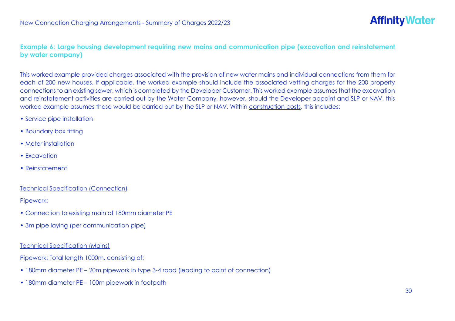#### **Example 6: Large housing development requiring new mains and communication pipe (excavation and reinstatement by water company)**

This worked example provided charges associated with the provision of new water mains and individual connections from them for each of 200 new houses. If applicable, the worked example should include the associated vetting charges for the 200 property connections to an existing sewer, which is completed by the Developer Customer. This worked example assumes that the excavation and reinstatement activities are carried out by the Water Company, however, should the Developer appoint and SLP or NAV, this worked example assumes these would be carried out by the SLP or NAV. Within construction costs, this includes:

- Service pipe installation
- Boundary box fitting
- Meter installation
- Excavation
- Reinstatement

#### Technical Specification (Connection)

Pipework:

- Connection to existing main of 180mm diameter PE
- 3m pipe laying (per communication pipe)

#### Technical Specification (Mains)

Pipework: Total length 1000m, consisting of:

- 180mm diameter PE 20m pipework in type 3-4 road (leading to point of connection)
- 180mm diameter PE 100m pipework in footpath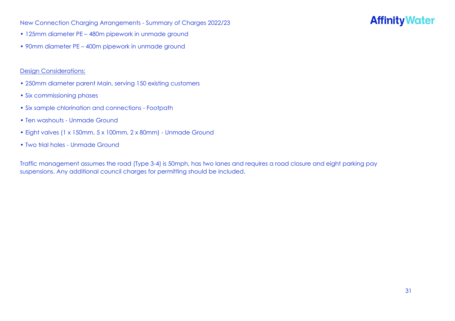# **Affinity Water**

- 125mm diameter PE 480m pipework in unmade ground
- 90mm diameter PE 400m pipework in unmade ground

#### Design Considerations:

- 250mm diameter parent Main, serving 150 existing customers
- Six commissioning phases
- Six sample chlorination and connections Footpath
- Ten washouts Unmade Ground
- Eight valves (1 x 150mm, 5 x 100mm, 2 x 80mm) Unmade Ground
- Two trial holes Unmade Ground

Traffic management assumes the road (Type 3-4) is 50mph, has two lanes and requires a road closure and eight parking pay suspensions. Any additional council charges for permitting should be included.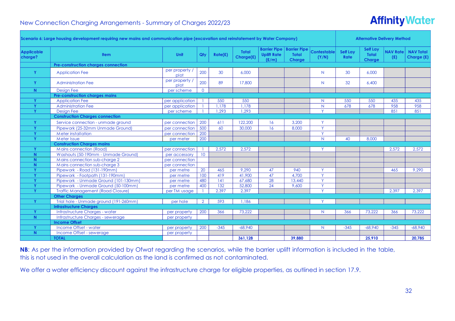# **Affinity Water**

|                              | Scenario 6: Large housing development requiring new mains and communication pipe (excavation and reinstatement by Water Company) |                        |                 |         |                           |                             |                                                              |                             |                         | <b>Alternative Delivery Method</b>               |                        |                                |
|------------------------------|----------------------------------------------------------------------------------------------------------------------------------|------------------------|-----------------|---------|---------------------------|-----------------------------|--------------------------------------------------------------|-----------------------------|-------------------------|--------------------------------------------------|------------------------|--------------------------------|
| <b>Applicable</b><br>charge? | <b>Item</b>                                                                                                                      | Unit                   | Qty             | Rate(£) | <b>Total</b><br>Charge(£) | <b>Uplift Rate</b><br>(E/m) | <b>Barrier Pipe   Barrier Pipe</b><br><b>Total</b><br>Charge | <b>Contestable</b><br>(Y/N) | Self Lay<br><b>Rate</b> | <b>Self Lay</b><br><b>Total</b><br><b>Charge</b> | <b>NAV Rate</b><br>(E) | <b>NAV Total</b><br>Charge (£) |
|                              | <b>Pre-construction charges connection</b>                                                                                       |                        |                 |         |                           |                             |                                                              |                             |                         |                                                  |                        |                                |
| Y                            | <b>Application Fee</b>                                                                                                           | per property /<br>plot | 200             | 30      | 6,000                     |                             |                                                              | N                           | 30                      | 6,000                                            |                        |                                |
| Y                            | <b>Administration Fee</b>                                                                                                        | per property /<br>plot | 200             | 89      | 17,800                    |                             |                                                              | N.                          | 32                      | 6,400                                            |                        |                                |
| N                            | <b>Design Fee</b>                                                                                                                | per scheme             | $\overline{0}$  |         |                           |                             |                                                              |                             |                         |                                                  |                        |                                |
|                              | <b>Pre-construction charges mains</b>                                                                                            |                        |                 |         |                           |                             |                                                              |                             |                         |                                                  |                        |                                |
|                              | <b>Application Fee</b>                                                                                                           | per application        |                 | 550     | 550                       |                             |                                                              | N                           | 550                     | 550                                              | 435                    | 435                            |
|                              | <b>Administration Fee</b>                                                                                                        | per application        |                 | 1.178   | .178                      |                             |                                                              | N.                          | 678                     | 678                                              | 958                    | 958                            |
| Y                            | <b>Design Fee</b>                                                                                                                | per scheme             |                 | 1,293   | ,293                      |                             |                                                              | Y                           |                         |                                                  | 851                    | 851                            |
|                              | <b>Construction Charges connection</b>                                                                                           |                        |                 |         |                           |                             |                                                              |                             |                         |                                                  |                        |                                |
| Y                            | Service connection - unmade ground                                                                                               | per connection         | 200             | 611     | 122,200                   | 16                          | 3,200                                                        | Y                           |                         |                                                  |                        |                                |
|                              | Pipework (25-32mm Unmade Ground)                                                                                                 | per connection         | 500             | 60      | 30,000                    | 16                          | 8,000                                                        | Y                           |                         |                                                  |                        |                                |
| $\mathbf v$                  | Meter installation                                                                                                               | per connection         | 200             |         |                           |                             |                                                              | Y                           |                         |                                                  |                        |                                |
| $\mathbf{v}$                 | Meter Issue                                                                                                                      | per meter              | 200             |         |                           |                             |                                                              | N.                          | 40                      | 8,000                                            |                        |                                |
|                              | <b>Construction Charges mains</b>                                                                                                |                        |                 |         |                           |                             |                                                              |                             |                         |                                                  |                        |                                |
| $\mathbf v$                  | Mains connection (Road)                                                                                                          | per connection         |                 | 2,572   | 2,572                     |                             |                                                              | $\checkmark$                |                         |                                                  | 2,572                  | 2,572                          |
| N.                           | Washouts (50-190mm - Unmade Ground)                                                                                              | per accessory          | 10 <sup>°</sup> |         |                           |                             |                                                              |                             |                         |                                                  |                        |                                |
| N.                           | Mains connection sub-charge 2                                                                                                    | per connection         |                 |         |                           |                             |                                                              |                             |                         |                                                  |                        |                                |
| N.                           | Mains connection sub-charge 3                                                                                                    | per connection         |                 |         |                           |                             |                                                              |                             |                         |                                                  |                        |                                |
|                              | Pipework - Road (131-190mm)                                                                                                      | per metre              | 20              | 465     | 9,290                     | 47                          | 940                                                          | Y                           |                         |                                                  | 465                    | 9,290                          |
| $\mathbf v$                  | Pipework - Footpath (131-190mm)                                                                                                  | per metre              | 100             | 419     | 41,900                    | 47                          | 4,700                                                        | Y                           |                         |                                                  |                        |                                |
| $\mathbf v$                  | Pipework - Unmade Ground (101-130mm)                                                                                             | per metre              | 480             | 141     | 67.680                    | 28                          | 13.440                                                       | Ÿ                           |                         |                                                  |                        |                                |
| $\mathbf v$                  | Pipework - Unmade Ground (50-100mm)                                                                                              | per metre              | 400             | 132     | 52,800                    | 24                          | 9,600                                                        | Y                           |                         |                                                  |                        |                                |
| $\mathbf v$                  | <b>Traffic Management (Road Closure)</b>                                                                                         | per TM usage           |                 | 2,397   | 2.397                     |                             |                                                              | $\vee$                      |                         |                                                  | 2,397                  | 2.397                          |
|                              | <b>Other Charges</b>                                                                                                             |                        |                 |         |                           |                             |                                                              |                             |                         |                                                  |                        |                                |
| Y                            | Trial hole - Unmade ground (191-260mm)                                                                                           | per hole               | $\overline{2}$  | 593     | 1,186                     |                             |                                                              | Y                           |                         |                                                  |                        |                                |
|                              | <b>Infrastructure Charges</b>                                                                                                    |                        |                 |         |                           |                             |                                                              |                             |                         |                                                  |                        |                                |
|                              | Infrastructure Charges - water                                                                                                   | per property           | 200             | 366     | 73,222                    |                             |                                                              | N                           | 366                     | 73,222                                           | 366                    | 73,222                         |
| N.                           | Infrastructure Charges - sewerage                                                                                                | per property           |                 |         |                           |                             |                                                              |                             |                         |                                                  |                        |                                |
|                              | <b>Income Offset</b>                                                                                                             |                        |                 |         |                           |                             |                                                              |                             |                         |                                                  |                        |                                |
|                              | Income Offset - water                                                                                                            | per property           | 200             | $-345$  | $-68.940$                 |                             |                                                              | N.                          | $-345$                  | $-68,940$                                        | $-345$                 | $-68,940$                      |
| N.                           | Income Offset - sewerage                                                                                                         | per property           |                 |         |                           |                             |                                                              |                             |                         |                                                  |                        |                                |
|                              | <b>TOTAL</b>                                                                                                                     |                        |                 |         | 361,128                   |                             | 39,880                                                       |                             |                         | 25,910                                           |                        | 20,785                         |

**NB**: As per the information provided by Ofwat regarding the scenarios, while the barrier uplift information is included in the table, this is not used in the overall calculation as the land is confirmed as not contaminated.

We offer a water efficiency discount against the infrastructure charge for eligible properties, as outlined in section 17.9.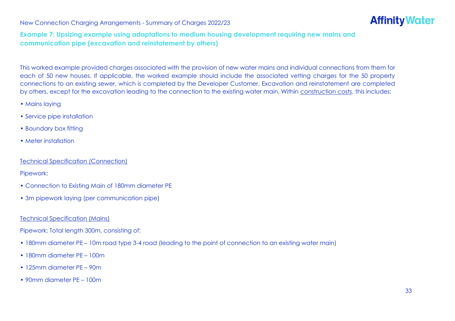# **Affinity Water**

#### **Example 7: Upsizing example using adaptations to medium housing development requiring new mains and communication pipe (excavation and reinstatement by others)**

This worked example provided charges associated with the provision of new water mains and individual connections from them for each of 50 new houses. If applicable, the worked example should include the associated vetting charges for the 50 property connections to an existing sewer, which is completed by the Developer Customer. Excavation and reinstatement are completed by others, except for the excavation leading to the connection to the existing water main. Within construction costs, this includes:

- Mains laying
- Service pipe installation
- Boundary box fitting
- Meter installation

#### Technical Specification (Connection)

Pipework:

- Connection to Existing Main of 180mm diameter PE
- 3m pipework laying (per communication pipe)

#### Technical Specification (Mains)

Pipework: Total length 300m, consisting of:

- 180mm diameter PE 10m road type 3-4 road (leading to the point of connection to an existing water main)
- 180mm diameter PE 100m
- 125mm diameter PE 90m
- 90mm diameter PE 100m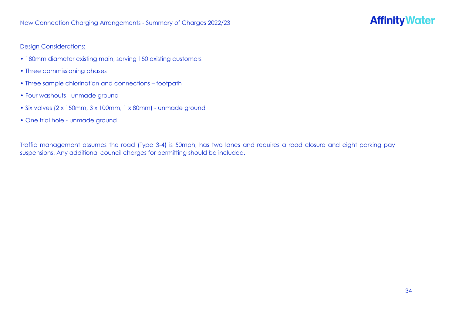#### Design Considerations:

- 180mm diameter existing main, serving 150 existing customers
- Three commissioning phases
- Three sample chlorination and connections footpath
- Four washouts unmade ground
- Six valves (2 x 150mm, 3 x 100mm, 1 x 80mm) unmade ground
- One trial hole unmade ground

Traffic management assumes the road (Type 3-4) is 50mph, has two lanes and requires a road closure and eight parking pay suspensions. Any additional council charges for permitting should be included.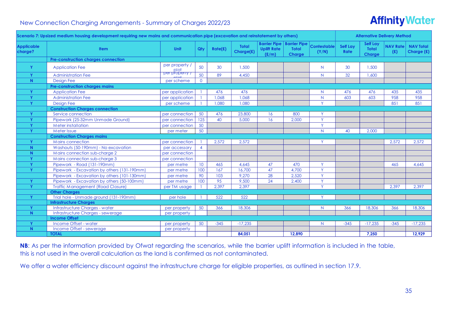# **Affinity Water**

|                              | Scenario 7: Upsized medium housing development requiring new mains and communication pipe (excavation and reinstatement by others) |                                                   |                 |         |                           |                                                    |                                                      |                             | <b>Alternative Delivery Method</b> |                                           |                        |                                |  |
|------------------------------|------------------------------------------------------------------------------------------------------------------------------------|---------------------------------------------------|-----------------|---------|---------------------------|----------------------------------------------------|------------------------------------------------------|-----------------------------|------------------------------------|-------------------------------------------|------------------------|--------------------------------|--|
| <b>Applicable</b><br>charge? | <b>Item</b>                                                                                                                        | Unit                                              | Qty             | Rate(£) | <b>Total</b><br>Charge(£) | <b>Barrier Pipe</b><br><b>Uplift Rate</b><br>(E/m) | <b>Barrier Pipe</b><br><b>Total</b><br><b>Charge</b> | <b>Contestable</b><br>(Y/N) | <b>Self Lay</b><br>Rate            | <b>Self Lay</b><br><b>Total</b><br>Charge | <b>NAV Rate</b><br>(E) | <b>NAV Total</b><br>Charge (£) |  |
|                              | <b>Pre-construction charges connection</b>                                                                                         |                                                   |                 |         |                           |                                                    |                                                      |                             |                                    |                                           |                        |                                |  |
| Y                            | <b>Application Fee</b>                                                                                                             | per property /<br>plot<br><del>yer popeny y</del> | 50              | 30      | 1,500                     |                                                    |                                                      | N.                          | 30                                 | 1,500                                     |                        |                                |  |
| Y                            | <b>Administration Fee</b>                                                                                                          |                                                   | 50              | 89      | 4,450                     |                                                    |                                                      | N.                          | 32                                 | 1,600                                     |                        |                                |  |
| N.                           | <b>Design Fee</b>                                                                                                                  | per scheme                                        | $\Omega$        |         |                           |                                                    |                                                      |                             |                                    |                                           |                        |                                |  |
|                              | <b>Pre-construction charges mains</b>                                                                                              |                                                   |                 |         |                           |                                                    |                                                      |                             |                                    |                                           |                        |                                |  |
| Y                            | <b>Application Fee</b>                                                                                                             | per application                                   |                 | 476     | 476                       |                                                    |                                                      | N.                          | 476                                | 476                                       | 435                    | 435                            |  |
| <b>V</b>                     | <b>Administration Fee</b>                                                                                                          | per application                                   |                 | 1,068   | 1.068                     |                                                    |                                                      | N                           | 603                                | 603                                       | 958                    | 958                            |  |
| <b>V</b>                     | <b>Design Fee</b>                                                                                                                  | per scheme                                        |                 | 1.080   | 1.080                     |                                                    |                                                      | Ÿ.                          |                                    |                                           | 851                    | 851                            |  |
|                              | <b>Construction Charges connection</b>                                                                                             |                                                   |                 |         |                           |                                                    |                                                      |                             |                                    |                                           |                        |                                |  |
| Y                            | Service connection                                                                                                                 | per connection                                    | 50              | 476     | 23,800                    | 16                                                 | 800                                                  | Y                           |                                    |                                           |                        |                                |  |
| $\mathbf{v}$                 | Pipework (25-32mm Unmade Ground)                                                                                                   | per connection                                    | 125             | 40      | 5,000                     | 16                                                 | 2,000                                                | Y                           |                                    |                                           |                        |                                |  |
| $\mathbf{v}$                 | <b>Meter installation</b>                                                                                                          | per connection                                    | 50              |         |                           |                                                    |                                                      | <b>Y</b>                    |                                    |                                           |                        |                                |  |
| $\mathbf v$                  | Meter Issue                                                                                                                        | per meter                                         | 50              |         |                           |                                                    |                                                      | N.                          | 40                                 | 2,000                                     |                        |                                |  |
|                              | <b>Construction Charges mains</b>                                                                                                  |                                                   |                 |         |                           |                                                    |                                                      |                             |                                    |                                           |                        |                                |  |
| v                            | Mains connection                                                                                                                   | per connection                                    |                 | 2,572   | 2,572                     |                                                    |                                                      | $\vee$                      |                                    |                                           | 2,572                  | 2,572                          |  |
| N.                           | Washouts (50-190mm) - No excavation                                                                                                | per accessory                                     | $\overline{4}$  |         |                           |                                                    |                                                      |                             |                                    |                                           |                        |                                |  |
| N                            | Mains connection sub-charge 2                                                                                                      | per connection                                    |                 |         |                           |                                                    |                                                      |                             |                                    |                                           |                        |                                |  |
| $\mathbf v$                  | Mains connection sub-charge 3                                                                                                      | per connection                                    |                 |         |                           |                                                    |                                                      |                             |                                    |                                           |                        |                                |  |
| $\mathbf v$                  | Pipework - Road (131-190mm)                                                                                                        | per metre                                         | 10 <sup>°</sup> | 465     | 4.645                     | 47                                                 | 470                                                  | Y                           |                                    |                                           | 465                    | 4.645                          |  |
| Y                            | Pipework - Excavation by others (131-190mm)                                                                                        | per metre                                         | 100             | 167     | 16,700                    | 47                                                 | 4,700                                                | Ÿ.                          |                                    |                                           |                        |                                |  |
|                              | Pipework - Excavation by others (101-130mm)                                                                                        | per metre                                         | 90              | 103     | 9,270                     | 28                                                 | 2,520                                                | Ÿ                           |                                    |                                           |                        |                                |  |
| Y.                           | Pipework - Excavation by others (50-100mm)                                                                                         | per metre                                         | 100             | 95      | 9,500                     | 24                                                 | 2,400                                                | Ÿ.                          |                                    |                                           |                        |                                |  |
| Y                            | <b>Traffic Management (Road Closure)</b>                                                                                           | per TM usage                                      |                 | 2,397   | 2,397                     |                                                    |                                                      | v.                          |                                    |                                           | 2,397                  | 2,397                          |  |
|                              | <b>Other Charges</b>                                                                                                               |                                                   |                 |         |                           |                                                    |                                                      |                             |                                    |                                           |                        |                                |  |
| Y                            | Trial hole - Unmade ground (131-190mm)                                                                                             | per hole                                          |                 | 522     | 522                       |                                                    |                                                      | Y                           |                                    |                                           |                        |                                |  |
|                              | <b>Infrastructure Charges</b>                                                                                                      |                                                   |                 |         |                           |                                                    |                                                      |                             |                                    |                                           |                        |                                |  |
|                              | <b>Infrastructure Charges - water</b>                                                                                              | per property                                      | 50              | 366     | 18,306                    |                                                    |                                                      | N.                          | 366                                | 18,306                                    | 366                    | 18,306                         |  |
| N.                           | Infrastructure Charges - sewerage                                                                                                  | per property                                      |                 |         |                           |                                                    |                                                      |                             |                                    |                                           |                        |                                |  |
|                              | <b>Income Offset</b>                                                                                                               |                                                   |                 |         |                           |                                                    |                                                      |                             |                                    |                                           |                        |                                |  |
| Y                            | Income Offset - water                                                                                                              | per property                                      | 50              | $-345$  | $-17,235$                 |                                                    |                                                      | N                           | $-345$                             | $-17,235$                                 | $-345$                 | $-17,235$                      |  |
| N.                           | Income Offset - sewerage                                                                                                           | per property                                      |                 |         |                           |                                                    |                                                      |                             |                                    |                                           |                        |                                |  |
|                              | <b>TOTAL</b>                                                                                                                       |                                                   |                 |         | 84.051                    |                                                    | 12.890                                               |                             |                                    | 7.250                                     |                        | 12.929                         |  |

**NB**: As per the information provided by Ofwat regarding the scenarios, while the barrier uplift information is included in the table, this is not used in the overall calculation as the land is confirmed as not contaminated.

We offer a water efficiency discount against the infrastructure charge for eligible properties, as outlined in section 17.9.